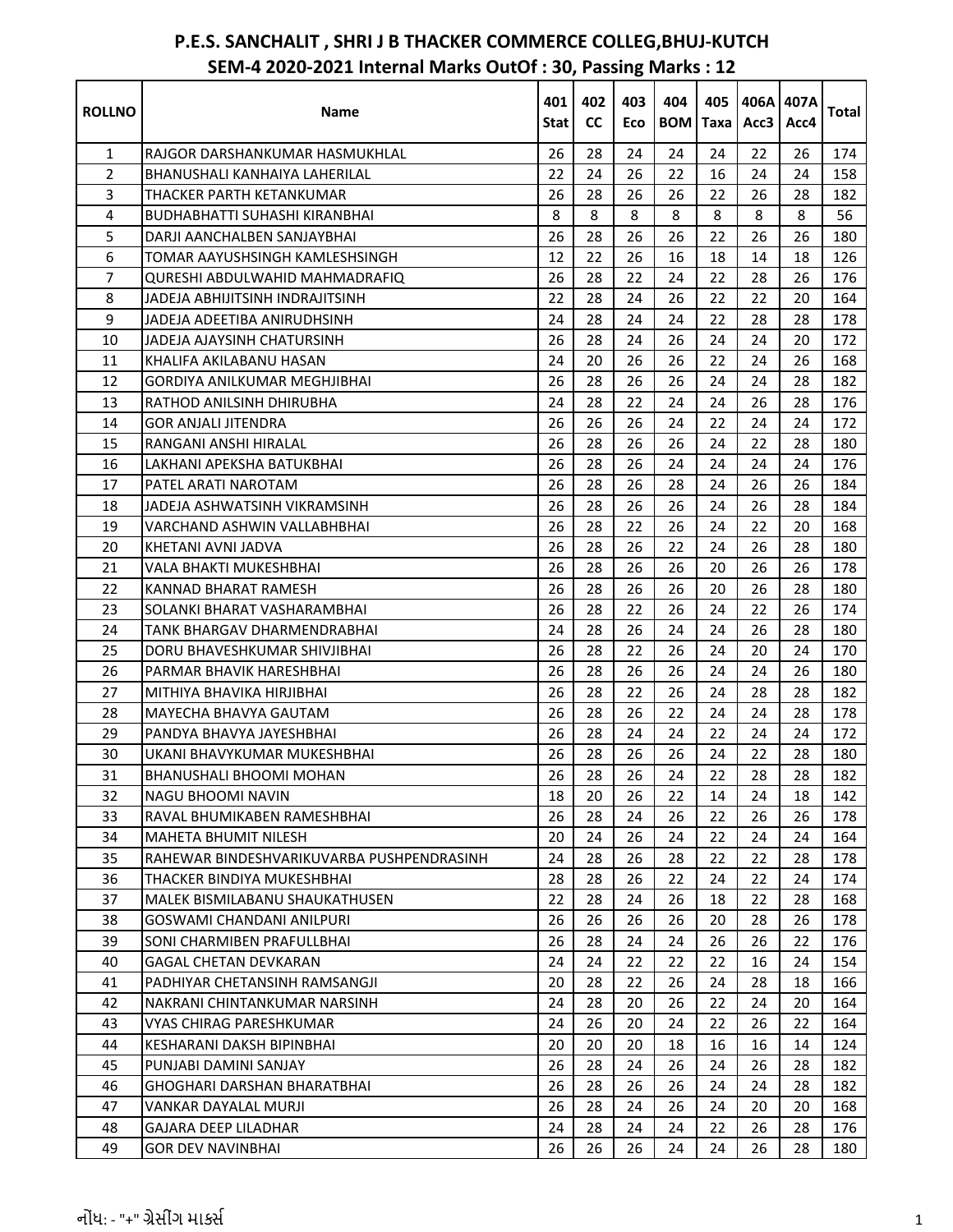| <b>ROLLNO</b>  | Name                                      | 401  | 402       | 403 | 404             | 405 | 406A 407A |      | <b>Total</b> |
|----------------|-------------------------------------------|------|-----------|-----|-----------------|-----|-----------|------|--------------|
|                |                                           | Stat | <b>CC</b> | Eco | <b>BOM</b> Taxa |     | Acc3      | Acc4 |              |
| $\mathbf{1}$   | RAJGOR DARSHANKUMAR HASMUKHLAL            | 26   | 28        | 24  | 24              | 24  | 22        | 26   | 174          |
| $\overline{2}$ | BHANUSHALI KANHAIYA LAHERILAL             | 22   | 24        | 26  | 22              | 16  | 24        | 24   | 158          |
| 3              | THACKER PARTH KETANKUMAR                  | 26   | 28        | 26  | 26              | 22  | 26        | 28   | 182          |
| 4              | <b>BUDHABHATTI SUHASHI KIRANBHAI</b>      | 8    | 8         | 8   | 8               | 8   | 8         | 8    | 56           |
| 5              | DARJI AANCHALBEN SANJAYBHAI               | 26   | 28        | 26  | 26              | 22  | 26        | 26   | 180          |
| 6              | TOMAR AAYUSHSINGH KAMLESHSINGH.           | 12   | 22        | 26  | 16              | 18  | 14        | 18   | 126          |
| 7              | OURESHI ABDULWAHID MAHMADRAFIO            | 26   | 28        | 22  | 24              | 22  | 28        | 26   | 176          |
| 8              | JADEJA ABHIJITSINH INDRAJITSINH           | 22   | 28        | 24  | 26              | 22  | 22        | 20   | 164          |
| 9              | JADEJA ADEETIBA ANIRUDHSINH               | 24   | 28        | 24  | 24              | 22  | 28        | 28   | 178          |
| 10             | JADEJA AJAYSINH CHATURSINH                | 26   | 28        | 24  | 26              | 24  | 24        | 20   | 172          |
| 11             | KHALIFA AKILABANU HASAN                   | 24   | 20        | 26  | 26              | 22  | 24        | 26   | 168          |
| 12             | GORDIYA ANILKUMAR MEGHJIBHAI              | 26   | 28        | 26  | 26              | 24  | 24        | 28   | 182          |
| 13             | RATHOD ANILSINH DHIRUBHA                  | 24   | 28        | 22  | 24              | 24  | 26        | 28   | 176          |
| 14             | <b>GOR ANJALI JITENDRA</b>                | 26   | 26        | 26  | 24              | 22  | 24        | 24   | 172          |
| 15             | RANGANI ANSHI HIRALAL                     | 26   | 28        | 26  | 26              | 24  | 22        | 28   | 180          |
| 16             | LAKHANI APEKSHA BATUKBHAI                 | 26   | 28        | 26  | 24              | 24  | 24        | 24   | 176          |
| 17             | PATEL ARATI NAROTAM                       | 26   | 28        | 26  | 28              | 24  | 26        | 26   | 184          |
| 18             | JADEJA ASHWATSINH VIKRAMSINH              | 26   | 28        | 26  | 26              | 24  | 26        | 28   | 184          |
| 19             | VARCHAND ASHWIN VALLABHBHAI               | 26   | 28        | 22  | 26              | 24  | 22        | 20   | 168          |
| 20             | KHETANI AVNI JADVA                        | 26   | 28        | 26  | 22              | 24  | 26        | 28   | 180          |
| 21             | VALA BHAKTI MUKESHBHAI                    | 26   | 28        | 26  | 26              | 20  | 26        | 26   | 178          |
| 22             | KANNAD BHARAT RAMESH                      | 26   | 28        | 26  | 26              | 20  | 26        | 28   | 180          |
| 23             | SOLANKI BHARAT VASHARAMBHAI               | 26   | 28        | 22  | 26              | 24  | 22        | 26   | 174          |
| 24             | TANK BHARGAV DHARMENDRABHAI               | 24   | 28        | 26  | 24              | 24  | 26        | 28   | 180          |
| 25             | DORU BHAVESHKUMAR SHIVJIBHAI              | 26   | 28        | 22  | 26              | 24  | 20        | 24   | 170          |
| 26             | PARMAR BHAVIK HARESHBHAI                  | 26   | 28        | 26  | 26              | 24  | 24        | 26   | 180          |
| 27             | MITHIYA BHAVIKA HIRJIBHAI                 | 26   | 28        | 22  | 26              | 24  | 28        | 28   | 182          |
| 28             | <b>MAYECHA BHAVYA GAUTAM</b>              | 26   | 28        | 26  | 22              | 24  | 24        | 28   | 178          |
| 29             | PANDYA BHAVYA JAYESHBHAI                  | 26   | 28        | 24  | 24              | 22  | 24        | 24   | 172          |
| 30             | UKANI BHAVYKUMAR MUKESHBHAI               | 26   | 28        | 26  | 26              | 24  | 22        | 28   | 180          |
| 31             | <b>BHANUSHALI BHOOMI MOHAN</b>            | 26   | 28        | 26  | 24              | 22  | 28        | 28   | 182          |
| 32             | NAGU BHOOMI NAVIN                         | 18   | 20        | 26  | 22              | 14  | 24        | 18   | 142          |
| 33             | RAVAL BHUMIKABEN RAMESHBHAI               | 26   | 28        | 24  | 26              | 22  | 26        | 26   | 178          |
| 34             | <b>MAHETA BHUMIT NILESH</b>               | 20   | 24        | 26  | 24              | 22  | 24        | 24   | 164          |
| 35             | RAHEWAR BINDESHVARIKUVARBA PUSHPENDRASINH | 24   | 28        | 26  | 28              | 22  | 22        | 28   | 178          |
| 36             | THACKER BINDIYA MUKESHBHAI                | 28   | 28        | 26  | 22              | 24  | 22        | 24   | 174          |
| 37             | MALEK BISMILABANU SHAUKATHUSEN            | 22   | 28        | 24  | 26              | 18  | 22        | 28   | 168          |
| 38             | <b>GOSWAMI CHANDANI ANILPURI</b>          | 26   | 26        | 26  | 26              | 20  | 28        | 26   | 178          |
| 39             | SONI CHARMIBEN PRAFULLBHAI                | 26   | 28        | 24  | 24              | 26  | 26        | 22   | 176          |
| 40             | <b>GAGAL CHETAN DEVKARAN</b>              | 24   | 24        | 22  | 22              | 22  | 16        | 24   | 154          |
| 41             | PADHIYAR CHETANSINH RAMSANGJI             | 20   | 28        | 22  | 26              | 24  | 28        | 18   | 166          |
| 42             | NAKRANI CHINTANKUMAR NARSINH              | 24   | 28        | 20  | 26              | 22  | 24        | 20   | 164          |
| 43             | VYAS CHIRAG PARESHKUMAR                   | 24   | 26        | 20  | 24              | 22  | 26        | 22   | 164          |
| 44             | KESHARANI DAKSH BIPINBHAI                 | 20   | 20        | 20  | 18              | 16  | 16        | 14   | 124          |
| 45             | PUNJABI DAMINI SANJAY                     | 26   | 28        | 24  | 26              | 24  | 26        | 28   | 182          |
| 46             | <b>GHOGHARI DARSHAN BHARATBHAI</b>        | 26   | 28        | 26  | 26              | 24  | 24        | 28   | 182          |
| 47             | VANKAR DAYALAL MURJI                      | 26   | 28        | 24  | 26              | 24  | 20        | 20   | 168          |
| 48             | GAJARA DEEP LILADHAR                      | 24   | 28        | 24  | 24              | 22  | 26        | 28   | 176          |
| 49             | <b>GOR DEV NAVINBHAI</b>                  | 26   | 26        | 26  | 24              | 24  | 26        | 28   | 180          |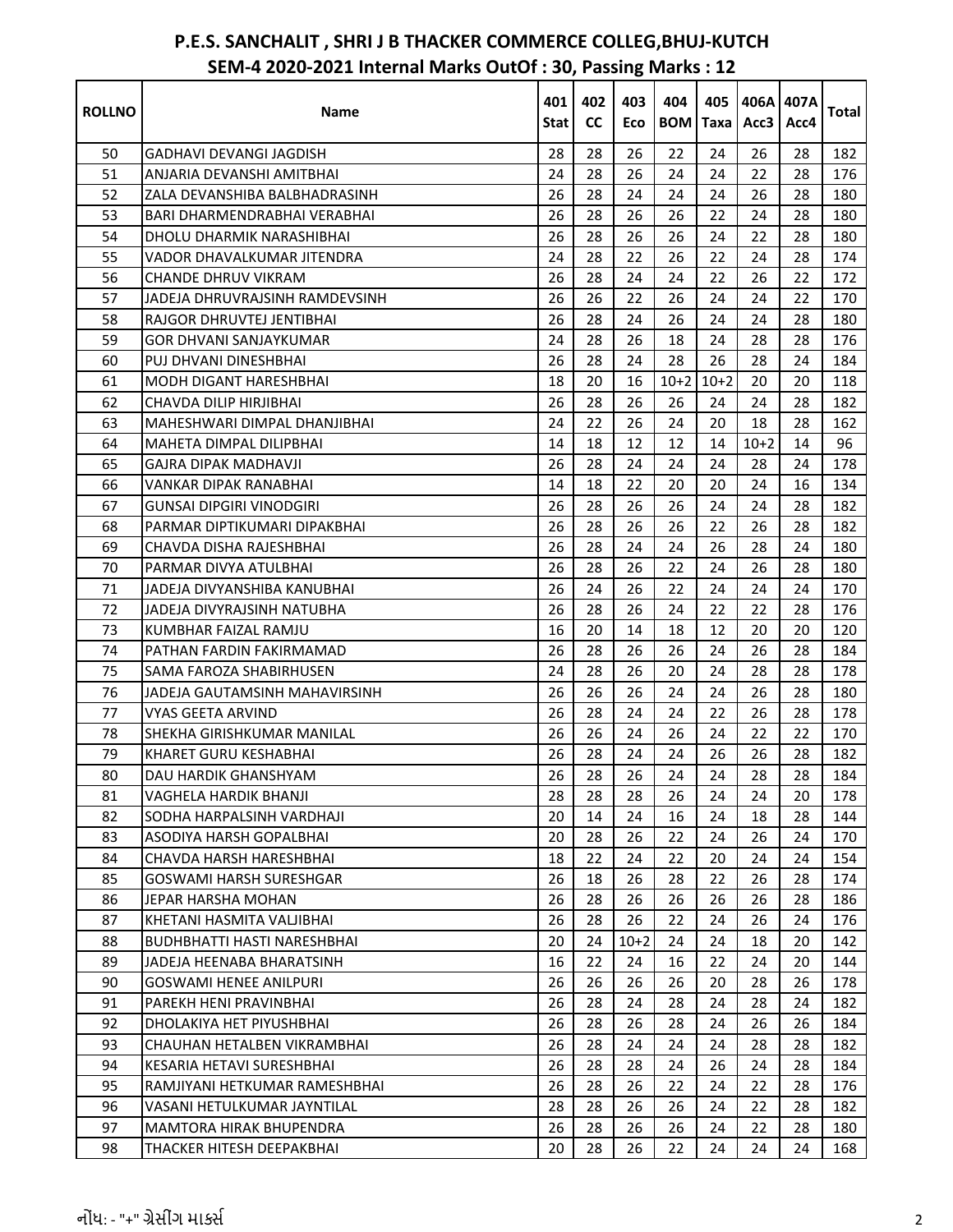| <b>ROLLNO</b> | Name                               | 401<br>Stat I | 402<br><b>CC</b> | 403<br>Eco | 404<br><b>BOM</b> | 405<br>Taxal | 406A 407A<br>Acc3 | Acc4 | <b>Total</b> |
|---------------|------------------------------------|---------------|------------------|------------|-------------------|--------------|-------------------|------|--------------|
| 50            | GADHAVI DEVANGI JAGDISH            | 28            | 28               | 26         | 22                | 24           | 26                | 28   | 182          |
| 51            | ANJARIA DEVANSHI AMITBHAI          | 24            | 28               | 26         | 24                | 24           | 22                | 28   | 176          |
| 52            | ZALA DEVANSHIBA BALBHADRASINH      | 26            | 28               | 24         | 24                | 24           | 26                | 28   | 180          |
| 53            | BARI DHARMENDRABHAI VERABHAI       | 26            | 28               | 26         | 26                | 22           | 24                | 28   | 180          |
| 54            | DHOLU DHARMIK NARASHIBHAI          | 26            | 28               | 26         | 26                | 24           | 22                | 28   | 180          |
| 55            | VADOR DHAVALKUMAR JITENDRA         | 24            | 28               | 22         | 26                | 22           | 24                | 28   | 174          |
| 56            | CHANDE DHRUV VIKRAM                | 26            | 28               | 24         | 24                | 22           | 26                | 22   | 172          |
| 57            | JADEJA DHRUVRAJSINH RAMDEVSINH     | 26            | 26               | 22         | 26                | 24           | 24                | 22   | 170          |
| 58            | RAJGOR DHRUVTEJ JENTIBHAI          | 26            | 28               | 24         | 26                | 24           | 24                | 28   | 180          |
| 59            | <b>GOR DHVANI SANJAYKUMAR</b>      | 24            | 28               | 26         | 18                | 24           | 28                | 28   | 176          |
| 60            | PUJ DHVANI DINESHBHAI              | 26            | 28               | 24         | 28                | 26           | 28                | 24   | 184          |
| 61            | <b>MODH DIGANT HARESHBHAI</b>      | 18            | 20               | 16         | $10+2$            | $10+2$       | 20                | 20   | 118          |
| 62            | CHAVDA DILIP HIRJIBHAI             | 26            | 28               | 26         | 26                | 24           | 24                | 28   | 182          |
| 63            | MAHESHWARI DIMPAL DHANJIBHAI       | 24            | 22               | 26         | 24                | 20           | 18                | 28   | 162          |
| 64            | MAHETA DIMPAL DILIPBHAI            | 14            | 18               | 12         | 12                | 14           | $10+2$            | 14   | 96           |
| 65            | GAJRA DIPAK MADHAVJI               | 26            | 28               | 24         | 24                | 24           | 28                | 24   | 178          |
| 66            | <b>VANKAR DIPAK RANABHAI</b>       | 14            | 18               | 22         | 20                | 20           | 24                | 16   | 134          |
| 67            | <b>GUNSAI DIPGIRI VINODGIRI</b>    | 26            | 28               | 26         | 26                | 24           | 24                | 28   | 182          |
| 68            | PARMAR DIPTIKUMARI DIPAKBHAI       | 26            | 28               | 26         | 26                | 22           | 26                | 28   | 182          |
| 69            | CHAVDA DISHA RAJESHBHAI            | 26            | 28               | 24         | 24                | 26           | 28                | 24   | 180          |
| 70            | PARMAR DIVYA ATULBHAI              | 26            | 28               | 26         | 22                | 24           | 26                | 28   | 180          |
| 71            | JADEJA DIVYANSHIBA KANUBHAI        | 26            | 24               | 26         | 22                | 24           | 24                | 24   | 170          |
| 72            | JADEJA DIVYRAJSINH NATUBHA         | 26            | 28               | 26         | 24                | 22           | 22                | 28   | 176          |
| 73            | KUMBHAR FAIZAL RAMJU               | 16            | 20               | 14         | 18                | 12           | 20                | 20   | 120          |
| 74            | PATHAN FARDIN FAKIRMAMAD           | 26            | 28               | 26         | 26                | 24           | 26                | 28   | 184          |
| 75            | SAMA FAROZA SHABIRHUSEN            | 24            | 28               | 26         | 20                | 24           | 28                | 28   | 178          |
| 76            | JADEJA GAUTAMSINH MAHAVIRSINH      | 26            | 26               | 26         | 24                | 24           | 26                | 28   | 180          |
| 77            | <b>VYAS GEETA ARVIND</b>           | 26            | 28               | 24         | 24                | 22           | 26                | 28   | 178          |
| 78            | SHEKHA GIRISHKUMAR MANILAL         | 26            | 26               | 24         | 26                | 24           | 22                | 22   | 170          |
| 79            | <b>KHARET GURU KESHABHAI</b>       | 26            | 28               | 24         | 24                | 26           | 26                | 28   | 182          |
| 80            | DAU HARDIK GHANSHYAM               | 26            | 28               | 26         | 24                | 24           | 28                | 28   | 184          |
| 81            | <b>VAGHELA HARDIK BHANJI</b>       | 28            | 28               | 28         | 26                | 24           | 24                | 20   | 178          |
| 82            | SODHA HARPALSINH VARDHAJI          | 20            | 14               | 24         | 16                | 24           | 18                | 28   | 144          |
| 83            | <b>ASODIYA HARSH GOPALBHAI</b>     | 20            | 28               | 26         | 22                | 24           | 26                | 24   | 170          |
| 84            | CHAVDA HARSH HARESHBHAI            | 18            | 22               | 24         | 22                | 20           | 24                | 24   | 154          |
| 85            | <b>GOSWAMI HARSH SURESHGAR</b>     | 26            | 18               | 26         | 28                | 22           | 26                | 28   | 174          |
| 86            | JEPAR HARSHA MOHAN                 | 26            | 28               | 26         | 26                | 26           | 26                | 28   | 186          |
| 87            | KHETANI HASMITA VALJIBHAI          | 26            | 28               | 26         | 22                | 24           | 26                | 24   | 176          |
| 88            | <b>BUDHBHATTI HASTI NARESHBHAI</b> | 20            | 24               | $10+2$     | 24                | 24           | 18                | 20   | 142          |
| 89            | JADEJA HEENABA BHARATSINH          | 16            | 22               | 24         | 16                | 22           | 24                | 20   | 144          |
| 90            | <b>GOSWAMI HENEE ANILPURI</b>      | 26            | 26               | 26         | 26                | 20           | 28                | 26   | 178          |
| 91            | PAREKH HENI PRAVINBHAI             | 26            | 28               | 24         | 28                | 24           | 28                | 24   | 182          |
| 92            | DHOLAKIYA HET PIYUSHBHAI           | 26            | 28               | 26         | 28                | 24           | 26                | 26   | 184          |
| 93            | CHAUHAN HETALBEN VIKRAMBHAI        | 26            | 28               | 24         | 24                | 24           | 28                | 28   | 182          |
| 94            | KESARIA HETAVI SURESHBHAI          | 26            | 28               | 28         | 24                | 26           | 24                | 28   | 184          |
| 95            | RAMJIYANI HETKUMAR RAMESHBHAI      | 26            | 28               | 26         | 22                | 24           | 22                | 28   | 176          |
| 96            | VASANI HETULKUMAR JAYNTILAL        | 28            | 28               | 26         | 26                | 24           | 22                | 28   | 182          |
| 97            | <b>MAMTORA HIRAK BHUPENDRA</b>     | 26            | 28               | 26         | 26                | 24           | 22                | 28   | 180          |
| 98            | THACKER HITESH DEEPAKBHAI          | 20            | 28               | 26         | 22                | 24           | 24                | 24   | 168          |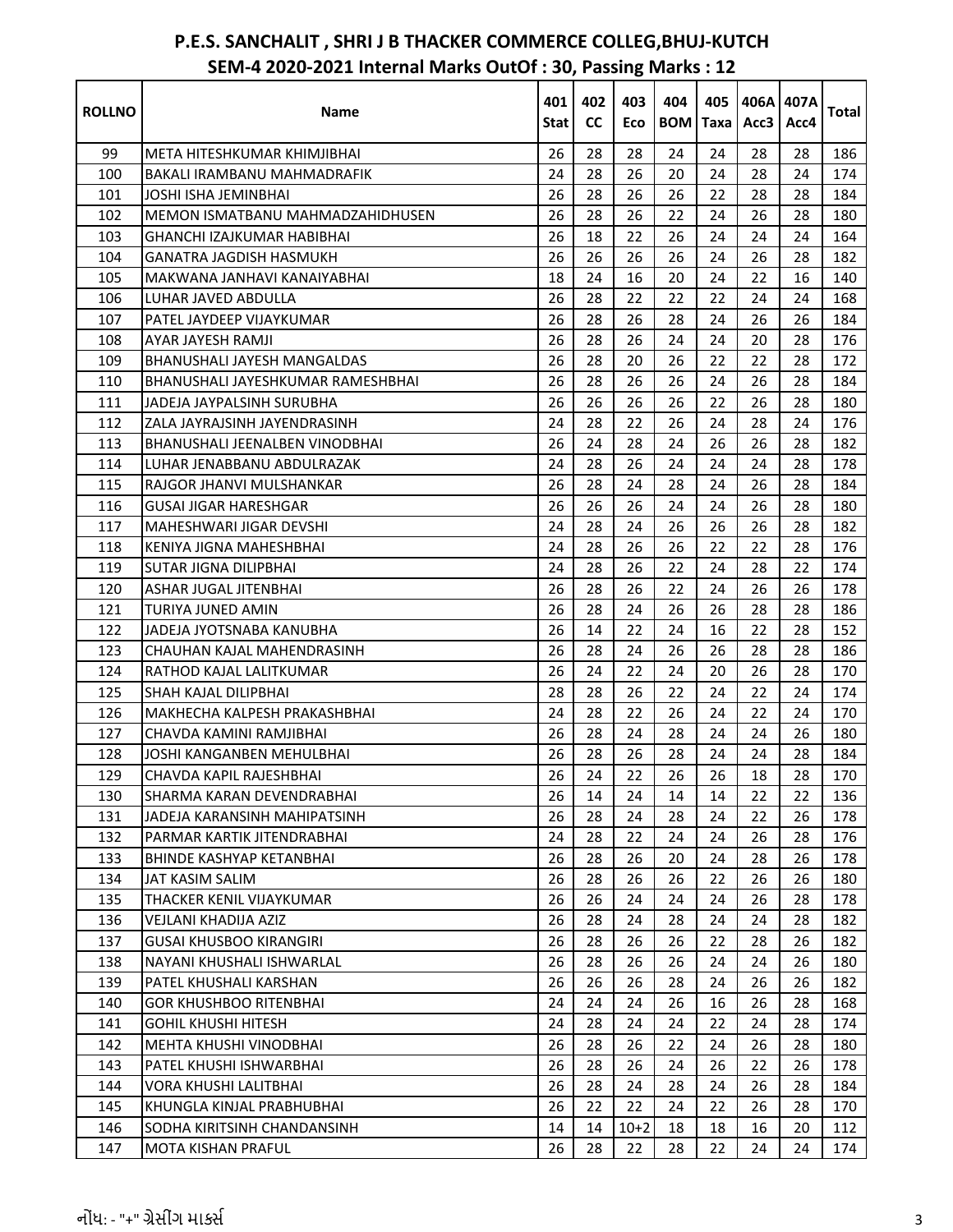| <b>ROLLNO</b> | Name                              | 401<br>Stat | 402<br><b>CC</b> | 403<br>Eco | 404<br><b>BOM</b> | 405<br><b>Taxa</b> | Acc3 | 406A1407A<br>Acc4 | Total |
|---------------|-----------------------------------|-------------|------------------|------------|-------------------|--------------------|------|-------------------|-------|
| 99            | META HITESHKUMAR KHIMJIBHAI       | 26          | 28               | 28         | 24                | 24                 | 28   | 28                | 186   |
| 100           | BAKALI IRAMBANU MAHMADRAFIK       | 24          | 28               | 26         | 20                | 24                 | 28   | 24                | 174   |
| 101           | <b>JOSHI ISHA JEMINBHAI</b>       | 26          | 28               | 26         | 26                | 22                 | 28   | 28                | 184   |
| 102           | MEMON ISMATBANU MAHMADZAHIDHUSEN  | 26          | 28               | 26         | 22                | 24                 | 26   | 28                | 180   |
| 103           | GHANCHI IZAJKUMAR HABIBHAI        | 26          | 18               | 22         | 26                | 24                 | 24   | 24                | 164   |
| 104           | GANATRA JAGDISH HASMUKH           | 26          | 26               | 26         | 26                | 24                 | 26   | 28                | 182   |
| 105           | MAKWANA JANHAVI KANAIYABHAI       | 18          | 24               | 16         | 20                | 24                 | 22   | 16                | 140   |
| 106           | LUHAR JAVED ABDULLA               | 26          | 28               | 22         | 22                | 22                 | 24   | 24                | 168   |
| 107           | PATEL JAYDEEP VIJAYKUMAR          | 26          | 28               | 26         | 28                | 24                 | 26   | 26                | 184   |
| 108           | AYAR JAYESH RAMJI                 | 26          | 28               | 26         | 24                | 24                 | 20   | 28                | 176   |
| 109           | BHANUSHALI JAYESH MANGALDAS       | 26          | 28               | 20         | 26                | 22                 | 22   | 28                | 172   |
| 110           | BHANUSHALI JAYESHKUMAR RAMESHBHAI | 26          | 28               | 26         | 26                | 24                 | 26   | 28                | 184   |
| 111           | JADEJA JAYPALSINH SURUBHA         | 26          | 26               | 26         | 26                | 22                 | 26   | 28                | 180   |
| 112           | ZALA JAYRAJSINH JAYENDRASINH      | 24          | 28               | 22         | 26                | 24                 | 28   | 24                | 176   |
| 113           | BHANUSHALI JEENALBEN VINODBHAI    | 26          | 24               | 28         | 24                | 26                 | 26   | 28                | 182   |
| 114           | LUHAR JENABBANU ABDULRAZAK        | 24          | 28               | 26         | 24                | 24                 | 24   | 28                | 178   |
| 115           | RAJGOR JHANVI MULSHANKAR          | 26          | 28               | 24         | 28                | 24                 | 26   | 28                | 184   |
| 116           | <b>GUSAI JIGAR HARESHGAR</b>      | 26          | 26               | 26         | 24                | 24                 | 26   | 28                | 180   |
| 117           | MAHESHWARI JIGAR DEVSHI           | 24          | 28               | 24         | 26                | 26                 | 26   | 28                | 182   |
| 118           | KENIYA JIGNA MAHESHBHAI           | 24          | 28               | 26         | 26                | 22                 | 22   | 28                | 176   |
| 119           | <b>SUTAR JIGNA DILIPBHAI</b>      | 24          | 28               | 26         | 22                | 24                 | 28   | 22                | 174   |
| 120           | ASHAR JUGAL JITENBHAI             | 26          | 28               | 26         | 22                | 24                 | 26   | 26                | 178   |
| 121           | TURIYA JUNED AMIN                 | 26          | 28               | 24         | 26                | 26                 | 28   | 28                | 186   |
| 122           | JADEJA JYOTSNABA KANUBHA          | 26          | 14               | 22         | 24                | 16                 | 22   | 28                | 152   |
| 123           | CHAUHAN KAJAL MAHENDRASINH        | 26          | 28               | 24         | 26                | 26                 | 28   | 28                | 186   |
| 124           | RATHOD KAJAL LALITKUMAR           | 26          | 24               | 22         | 24                | 20                 | 26   | 28                | 170   |
| 125           | SHAH KAJAL DILIPBHAI              | 28          | 28               | 26         | 22                | 24                 | 22   | 24                | 174   |
| 126           | MAKHECHA KALPESH PRAKASHBHAI      | 24          | 28               | 22         | 26                | 24                 | 22   | 24                | 170   |
| 127           | CHAVDA KAMINI RAMJIBHAI           | 26          | 28               | 24         | 28                | 24                 | 24   | 26                | 180   |
| 128           | JOSHI KANGANBEN MEHULBHAI         | 26          | 28               | 26         | 28                | 24                 | 24   | 28                | 184   |
| 129           | CHAVDA KAPIL RAJESHBHAI           | 26          | 24               | 22         | 26                | 26                 | 18   | 28                | 170   |
| 130           | SHARMA KARAN DEVENDRABHAI         | 26          | 14               | 24         | 14                | 14                 | 22   | 22                | 136   |
| 131           | JADEJA KARANSINH MAHIPATSINH      | 26          | 28               | 24         | 28                | 24                 | 22   | 26                | 178   |
| 132           | PARMAR KARTIK JITENDRABHAI        | 24          | 28               | 22         | 24                | 24                 | 26   | 28                | 176   |
| 133           | <b>BHINDE KASHYAP KETANBHAI</b>   | 26          | 28               | 26         | 20                | 24                 | 28   | 26                | 178   |
| 134           | JAT KASIM SALIM                   | 26          | 28               | 26         | 26                | 22                 | 26   | 26                | 180   |
| 135           | THACKER KENIL VIJAYKUMAR          | 26          | 26               | 24         | 24                | 24                 | 26   | 28                | 178   |
| 136           | VEJLANI KHADIJA AZIZ              | 26          | 28               | 24         | 28                | 24                 | 24   | 28                | 182   |
| 137           | <b>GUSAI KHUSBOO KIRANGIRI</b>    | 26          | 28               | 26         | 26                | 22                 | 28   | 26                | 182   |
| 138           | NAYANI KHUSHALI ISHWARLAL         | 26          | 28               | 26         | 26                | 24                 | 24   | 26                | 180   |
| 139           | PATEL KHUSHALI KARSHAN            | 26          | 26               | 26         | 28                | 24                 | 26   | 26                | 182   |
| 140           | <b>GOR KHUSHBOO RITENBHAI</b>     | 24          | 24               | 24         | 26                | 16                 | 26   | 28                | 168   |
| 141           | <b>GOHIL KHUSHI HITESH</b>        | 24          | 28               | 24         | 24                | 22                 | 24   | 28                | 174   |
| 142           | MEHTA KHUSHI VINODBHAI            | 26          | 28               | 26         | 22                | 24                 | 26   | 28                | 180   |
| 143           | PATEL KHUSHI ISHWARBHAI           | 26          | 28               | 26         | 24                | 26                 | 22   | 26                | 178   |
| 144           | VORA KHUSHI LALITBHAI             | 26          | 28               | 24         | 28                | 24                 | 26   | 28                | 184   |
| 145           | KHUNGLA KINJAL PRABHUBHAI         | 26          | 22               | 22         | 24                | 22                 | 26   | 28                | 170   |
| 146           | SODHA KIRITSINH CHANDANSINH       | 14          | 14               | $10+2$     | 18                | 18                 | 16   | 20                | 112   |
| 147           | MOTA KISHAN PRAFUL                | 26          | 28               | 22         | 28                | 22                 | 24   | 24                | 174   |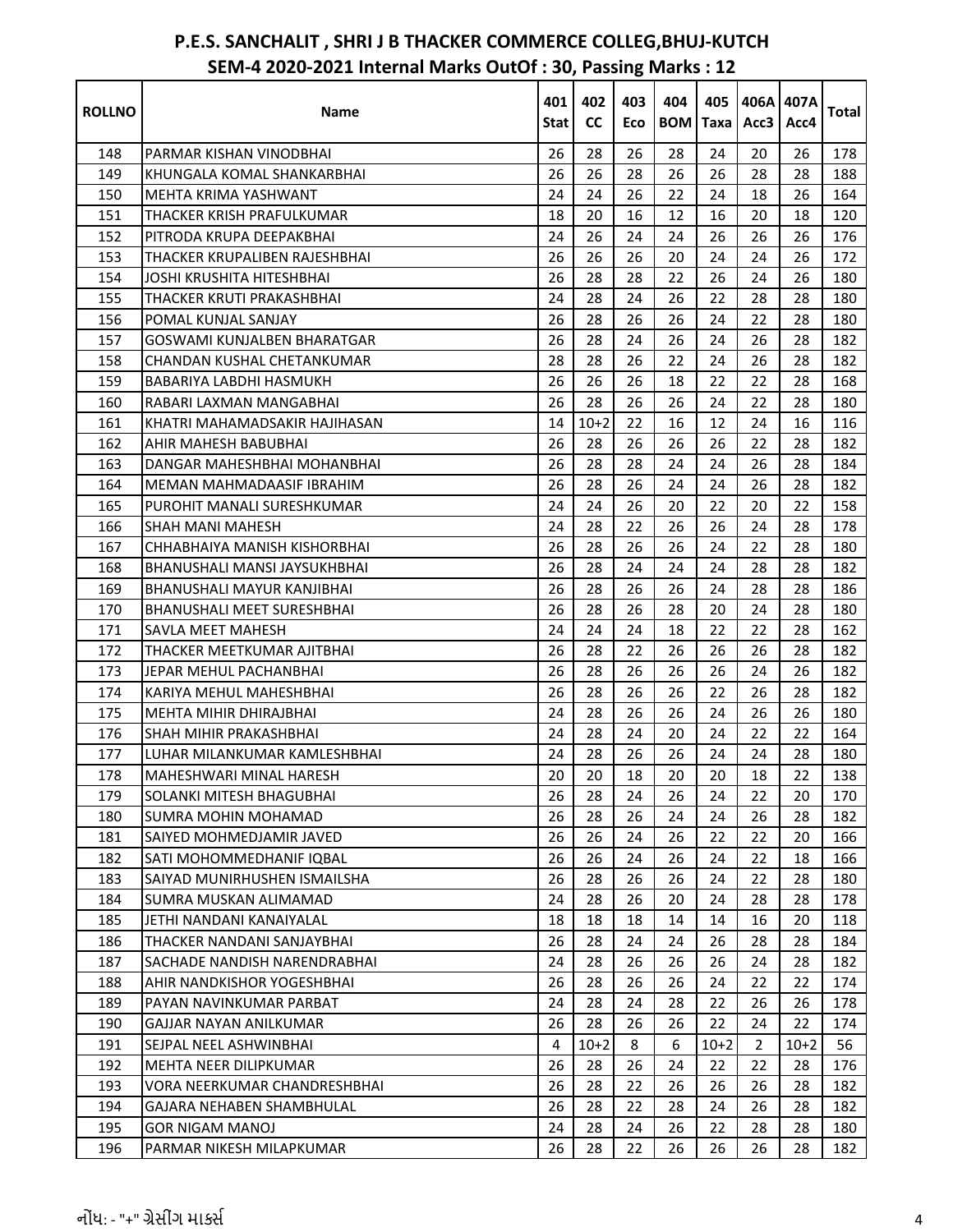| <b>ROLLNO</b> | Name                                | 401<br>Stat I | 402<br><b>CC</b> | 403<br>Eco | 404<br><b>BOM</b> | 405<br>Taxa | 406A 407A<br>Acc3 | Acc4   | <b>Total</b> |
|---------------|-------------------------------------|---------------|------------------|------------|-------------------|-------------|-------------------|--------|--------------|
| 148           | PARMAR KISHAN VINODBHAI             | 26            | 28               | 26         | 28                | 24          | 20                | 26     | 178          |
| 149           | KHUNGALA KOMAL SHANKARBHAI          | 26            | 26               | 28         | 26                | 26          | 28                | 28     | 188          |
| 150           | MEHTA KRIMA YASHWANT                | 24            | 24               | 26         | 22                | 24          | 18                | 26     | 164          |
| 151           | THACKER KRISH PRAFULKUMAR           | 18            | 20               | 16         | 12                | 16          | 20                | 18     | 120          |
| 152           | PITRODA KRUPA DEEPAKBHAI            | 24            | 26               | 24         | 24                | 26          | 26                | 26     | 176          |
| 153           | THACKER KRUPALIBEN RAJESHBHAI       | 26            | 26               | 26         | 20                | 24          | 24                | 26     | 172          |
| 154           | JOSHI KRUSHITA HITESHBHAI           | 26            | 28               | 28         | 22                | 26          | 24                | 26     | 180          |
| 155           | THACKER KRUTI PRAKASHBHAI           | 24            | 28               | 24         | 26                | 22          | 28                | 28     | 180          |
| 156           | POMAL KUNJAL SANJAY                 | 26            | 28               | 26         | 26                | 24          | 22                | 28     | 180          |
| 157           | <b>GOSWAMI KUNJALBEN BHARATGAR</b>  | 26            | 28               | 24         | 26                | 24          | 26                | 28     | 182          |
| 158           | CHANDAN KUSHAL CHETANKUMAR          | 28            | 28               | 26         | 22                | 24          | 26                | 28     | 182          |
| 159           | <b>BABARIYA LABDHI HASMUKH</b>      | 26            | 26               | 26         | 18                | 22          | 22                | 28     | 168          |
| 160           | RABARI LAXMAN MANGABHAI             | 26            | 28               | 26         | 26                | 24          | 22                | 28     | 180          |
| 161           | KHATRI MAHAMADSAKIR HAJIHASAN       | 14            | $10+2$           | 22         | 16                | 12          | 24                | 16     | 116          |
| 162           | AHIR MAHESH BABUBHAI                | 26            | 28               | 26         | 26                | 26          | 22                | 28     | 182          |
| 163           | DANGAR MAHESHBHAI MOHANBHAI         | 26            | 28               | 28         | 24                | 24          | 26                | 28     | 184          |
| 164           | MEMAN MAHMADAASIF IBRAHIM           | 26            | 28               | 26         | 24                | 24          | 26                | 28     | 182          |
| 165           | PUROHIT MANALI SURESHKUMAR          | 24            | 24               | 26         | 20                | 22          | 20                | 22     | 158          |
| 166           | SHAH MANI MAHESH                    | 24            | 28               | 22         | 26                | 26          | 24                | 28     | 178          |
| 167           | CHHABHAIYA MANISH KISHORBHAI        | 26            | 28               | 26         | 26                | 24          | 22                | 28     | 180          |
| 168           | BHANUSHALI MANSI JAYSUKHBHAI        | 26            | 28               | 24         | 24                | 24          | 28                | 28     | 182          |
| 169           | <b>BHANUSHALI MAYUR KANJIBHAI</b>   | 26            | 28               | 26         | 26                | 24          | 28                | 28     | 186          |
| 170           | <b>BHANUSHALI MEET SURESHBHAI</b>   | 26            | 28               | 26         | 28                | 20          | 24                | 28     | 180          |
| 171           | <b>SAVLA MEET MAHESH</b>            | 24            | 24               | 24         | 18                | 22          | 22                | 28     | 162          |
| 172           | THACKER MEETKUMAR AJITBHAI          | 26            | 28               | 22         | 26                | 26          | 26                | 28     | 182          |
| 173           | JEPAR MEHUL PACHANBHAI              | 26            | 28               | 26         | 26                | 26          | 24                | 26     | 182          |
| 174           | KARIYA MEHUL MAHESHBHAI             | 26            | 28               | 26         | 26                | 22          | 26                | 28     | 182          |
| 175           | <b>MEHTA MIHIR DHIRAJBHAI</b>       | 24            | 28               | 26         | 26                | 24          | 26                | 26     | 180          |
| 176           | SHAH MIHIR PRAKASHBHAI              | 24            | 28               | 24         | 20                | 24          | 22                | 22     | 164          |
| 177           | LUHAR MILANKUMAR KAMLESHBHAI        | 24            | 28               | 26         | 26                | 24          | 24                | 28     | 180          |
| 178           | MAHESHWARI MINAL HARESH             | $20\,$        | $20\,$           | $18\,$     | $20\,$            | $20\,$      | 18                | 22     | 138          |
| 179           | SOLANKI MITESH BHAGUBHAI            | 26            | 28               | 24         | 26                | 24          | 22                | 20     | 170          |
| 180           | <b>SUMRA MOHIN MOHAMAD</b>          | 26            | 28               | 26         | 24                | 24          | 26                | 28     | 182          |
| 181           | SAIYED MOHMEDJAMIR JAVED            | 26            | 26               | 24         | 26                | 22          | 22                | 20     | 166          |
| 182           | SATI MOHOMMEDHANIF IQBAL            | 26            | 26               | 24         | 26                | 24          | 22                | 18     | 166          |
| 183           | SAIYAD MUNIRHUSHEN ISMAILSHA        | 26            | 28               | 26         | 26                | 24          | 22                | 28     | 180          |
| 184           | SUMRA MUSKAN ALIMAMAD               | 24            | 28               | 26         | 20                | 24          | 28                | 28     | 178          |
| 185           | JETHI NANDANI KANAIYALAL            | 18            | 18               | 18         | 14                | 14          | 16                | 20     | 118          |
| 186           | THACKER NANDANI SANJAYBHAI          | 26            | 28               | 24         | 24                | 26          | 28                | 28     | 184          |
| 187           | SACHADE NANDISH NARENDRABHAI        | 24            | 28               | 26         | 26                | 26          | 24                | 28     | 182          |
| 188           | <b>AHIR NANDKISHOR YOGESHBHAI</b>   | 26            | 28               | 26         | 26                | 24          | 22                | 22     | 174          |
| 189           | PAYAN NAVINKUMAR PARBAT             | 24            | 28               | 24         | 28                | 22          | 26                | 26     | 178          |
| 190           | GAJJAR NAYAN ANILKUMAR              | 26            | 28               | 26         | 26                | 22          | 24                | 22     | 174          |
| 191           | SEJPAL NEEL ASHWINBHAI              | 4             | $10+2$           | 8          | 6                 | $10+2$      | $\overline{2}$    | $10+2$ | 56           |
| 192           | <b>MEHTA NEER DILIPKUMAR</b>        | 26            | 28               | 26         | 24                | 22          | 22                | 28     | 176          |
| 193           | <b>VORA NEERKUMAR CHANDRESHBHAI</b> | 26            | 28               | 22         | 26                | 26          | 26                | 28     | 182          |
| 194           | GAJARA NEHABEN SHAMBHULAL           | 26            | 28               | 22         | 28                | 24          | 26                | 28     | 182          |
| 195           | <b>GOR NIGAM MANOJ</b>              | 24            | 28               | 24         | 26                | 22          | 28                | 28     | 180          |
| 196           | PARMAR NIKESH MILAPKUMAR            | 26            | 28               | 22         | 26                | 26          | 26                | 28     | 182          |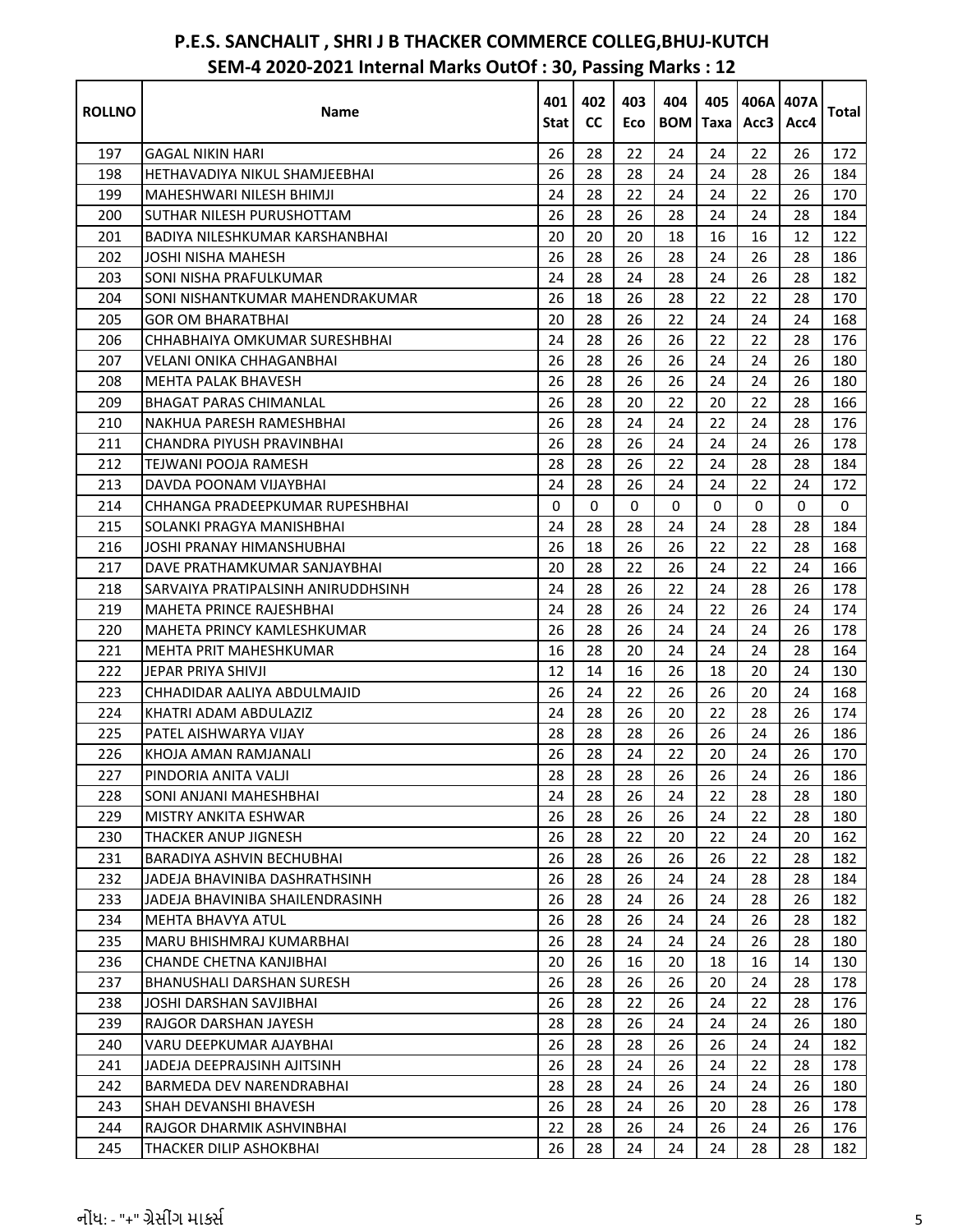| <b>ROLLNO</b> | Name                                  | 401<br>Stat | 402<br><b>CC</b> | 403<br>Eco | 404 | 405<br><b>BOM</b> Taxa | 406A 407A<br>Acc3 | Acc4        | <b>Total</b> |
|---------------|---------------------------------------|-------------|------------------|------------|-----|------------------------|-------------------|-------------|--------------|
| 197           | GAGAL NIKIN HARI                      | 26          | 28               | 22         | 24  | 24                     | 22                | 26          | 172          |
| 198           | HETHAVADIYA NIKUL SHAMJEEBHAI         | 26          | 28               | 28         | 24  | 24                     | 28                | 26          | 184          |
| 199           | MAHESHWARI NILESH BHIMJI              | 24          | 28               | 22         | 24  | 24                     | 22                | 26          | 170          |
| 200           | SUTHAR NILESH PURUSHOTTAM             | 26          | 28               | 26         | 28  | 24                     | 24                | 28          | 184          |
| 201           | <b>BADIYA NILESHKUMAR KARSHANBHAI</b> | 20          | 20               | 20         | 18  | 16                     | 16                | 12          | 122          |
| 202           | JOSHI NISHA MAHESH                    | 26          | 28               | 26         | 28  | 24                     | 26                | 28          | 186          |
| 203           | SONI NISHA PRAFULKUMAR                | 24          | 28               | 24         | 28  | 24                     | 26                | 28          | 182          |
| 204           | SONI NISHANTKUMAR MAHENDRAKUMAR       | 26          | 18               | 26         | 28  | 22                     | 22                | 28          | 170          |
| 205           | <b>GOR OM BHARATBHAI</b>              | 20          | 28               | 26         | 22  | 24                     | 24                | 24          | 168          |
| 206           | CHHABHAIYA OMKUMAR SURESHBHAI         | 24          | 28               | 26         | 26  | 22                     | 22                | 28          | 176          |
| 207           | <b>VELANI ONIKA CHHAGANBHAI</b>       | 26          | 28               | 26         | 26  | 24                     | 24                | 26          | 180          |
| 208           | <b>MEHTA PALAK BHAVESH</b>            | 26          | 28               | 26         | 26  | 24                     | 24                | 26          | 180          |
| 209           | <b>BHAGAT PARAS CHIMANLAL</b>         | 26          | 28               | 20         | 22  | 20                     | 22                | 28          | 166          |
| 210           | NAKHUA PARESH RAMESHBHAI              | 26          | 28               | 24         | 24  | 22                     | 24                | 28          | 176          |
| 211           | CHANDRA PIYUSH PRAVINBHAI             | 26          | 28               | 26         | 24  | 24                     | 24                | 26          | 178          |
| 212           | TEJWANI POOJA RAMESH                  | 28          | 28               | 26         | 22  | 24                     | 28                | 28          | 184          |
| 213           | DAVDA POONAM VIJAYBHAI                | 24          | 28               | 26         | 24  | 24                     | 22                | 24          | 172          |
| 214           | CHHANGA PRADEEPKUMAR RUPESHBHAI       | 0           | 0                | 0          | 0   | 0                      | 0                 | $\mathbf 0$ | $\mathbf 0$  |
| 215           | SOLANKI PRAGYA MANISHBHAI             | 24          | 28               | 28         | 24  | 24                     | 28                | 28          | 184          |
| 216           | JOSHI PRANAY HIMANSHUBHAI             | 26          | 18               | 26         | 26  | 22                     | 22                | 28          | 168          |
| 217           | DAVE PRATHAMKUMAR SANJAYBHAI          | 20          | 28               | 22         | 26  | 24                     | 22                | 24          | 166          |
| 218           | SARVAIYA PRATIPALSINH ANIRUDDHSINH    | 24          | 28               | 26         | 22  | 24                     | 28                | 26          | 178          |
| 219           | <b>MAHETA PRINCE RAJESHBHAI</b>       | 24          | 28               | 26         | 24  | 22                     | 26                | 24          | 174          |
| 220           | <b>MAHETA PRINCY KAMLESHKUMAR</b>     | 26          | 28               | 26         | 24  | 24                     | 24                | 26          | 178          |
| 221           | <b>MEHTA PRIT MAHESHKUMAR</b>         | 16          | 28               | 20         | 24  | 24                     | 24                | 28          | 164          |
| 222           | JEPAR PRIYA SHIVJI                    | 12          | 14               | 16         | 26  | 18                     | 20                | 24          | 130          |
| 223           | CHHADIDAR AALIYA ABDULMAJID           | 26          | 24               | 22         | 26  | 26                     | 20                | 24          | 168          |
| 224           | KHATRI ADAM ABDULAZIZ                 | 24          | 28               | 26         | 20  | 22                     | 28                | 26          | 174          |
| 225           | <b>PATEL AISHWARYA VIJAY</b>          | 28          | 28               | 28         | 26  | 26                     | 24                | 26          | 186          |
| 226           | KHOJA AMAN RAMJANALI                  | 26          | 28               | 24         | 22  | 20                     | 24                | 26          | 170          |
| 227           | PINDORIA ANITA VALII                  | 28          | 28               | 28         | 26  | 26                     | 24                | 26          | 186          |
| 228           | SONI ANJANI MAHESHBHAI                | 24          | 28               | 26         | 24  | 22                     | 28                | 28          | 180          |
| 229           | <b>MISTRY ANKITA ESHWAR</b>           | 26          | 28               | 26         | 26  | 24                     | 22                | 28          | 180          |
| 230           | THACKER ANUP JIGNESH                  | 26          | 28               | 22         | 20  | 22                     | 24                | 20          | 162          |
| 231           | <b>BARADIYA ASHVIN BECHUBHAI</b>      | 26          | 28               | 26         | 26  | 26                     | 22                | 28          | 182          |
| 232           | JADEJA BHAVINIBA DASHRATHSINH         | 26          | 28               | 26         | 24  | 24                     | 28                | 28          | 184          |
| 233           | JADEJA BHAVINIBA SHAILENDRASINH       | 26          | 28               | 24         | 26  | 24                     | 28                | 26          | 182          |
| 234           | <b>MEHTA BHAVYA ATUL</b>              | 26          | 28               | 26         | 24  | 24                     | 26                | 28          | 182          |
| 235           | MARU BHISHMRAJ KUMARBHAI              | 26          | 28               | 24         | 24  | 24                     | 26                | 28          | 180          |
| 236           | CHANDE CHETNA KANJIBHAI               | 20          | 26               | 16         | 20  | 18                     | 16                | 14          | 130          |
| 237           | <b>BHANUSHALI DARSHAN SURESH</b>      | 26          | 28               | 26         | 26  | 20                     | 24                | 28          | 178          |
| 238           | JOSHI DARSHAN SAVJIBHAI               | 26          | 28               | 22         | 26  | 24                     | 22                | 28          | 176          |
| 239           | RAJGOR DARSHAN JAYESH                 | 28          | 28               | 26         | 24  | 24                     | 24                | 26          | 180          |
| 240           | VARU DEEPKUMAR AJAYBHAI               | 26          | 28               | 28         | 26  | 26                     | 24                | 24          | 182          |
| 241           | JADEJA DEEPRAJSINH AJITSINH           | 26          | 28               | 24         | 26  | 24                     | 22                | 28          | 178          |
| 242           | BARMEDA DEV NARENDRABHAI              | 28          | 28               | 24         | 26  | 24                     | 24                | 26          | 180          |
| 243           | SHAH DEVANSHI BHAVESH                 | 26          | 28               | 24         | 26  | 20                     | 28                | 26          | 178          |
| 244           | RAJGOR DHARMIK ASHVINBHAI             | 22          | 28               | 26         | 24  | 26                     | 24                | 26          | 176          |
| 245           | THACKER DILIP ASHOKBHAI               | 26          | 28               | 24         | 24  | 24                     | 28                | 28          | 182          |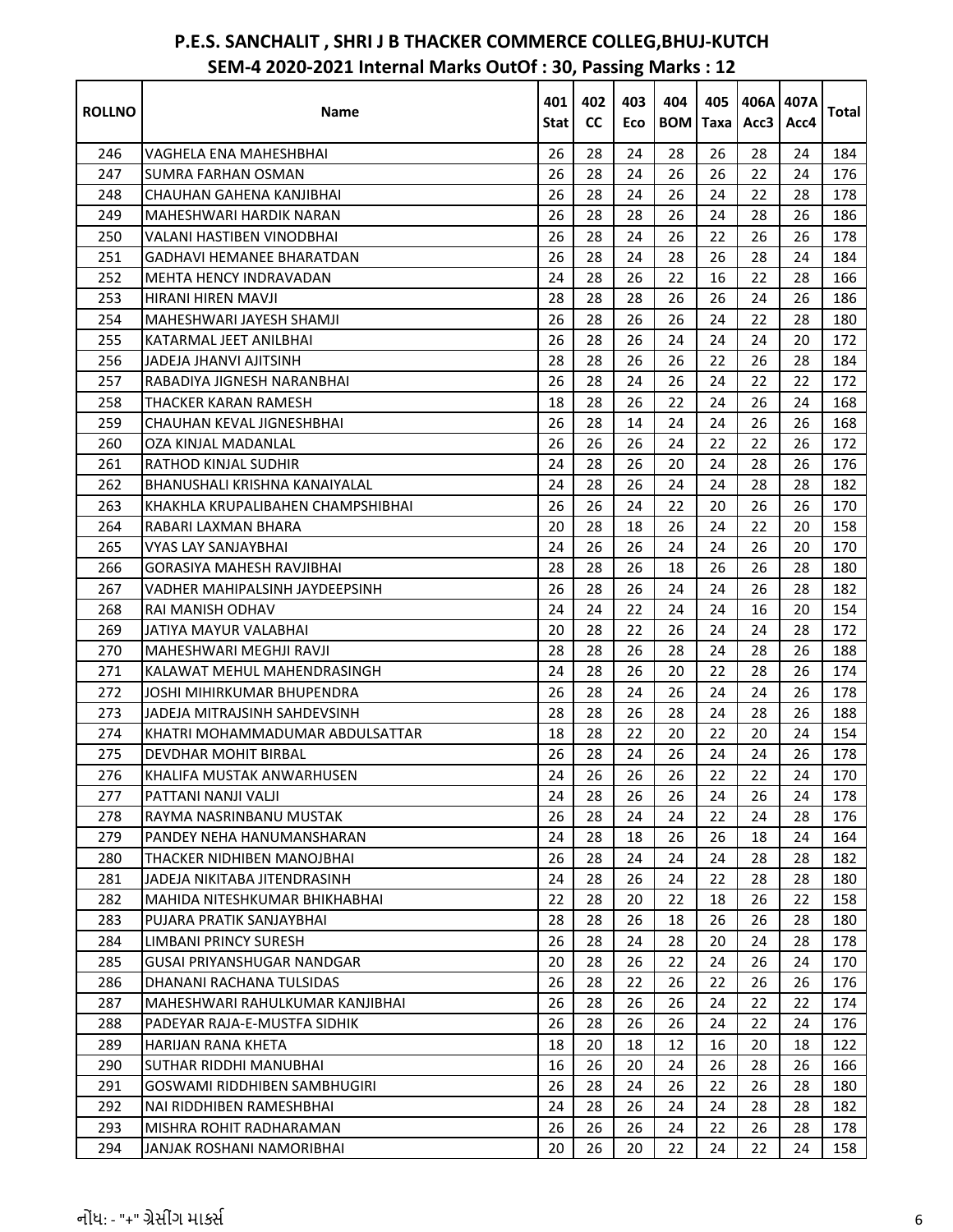| <b>ROLLNO</b> | Name                                | 401<br>Stat | 402<br><b>CC</b> | 403<br>Eco | 404<br><b>BOM</b> | 405<br><b>Taxa</b> | Acc3 | 406A1407A<br>Acc4 | Total |
|---------------|-------------------------------------|-------------|------------------|------------|-------------------|--------------------|------|-------------------|-------|
| 246           | VAGHELA ENA MAHESHBHAI              | 26          | 28               | 24         | 28                | 26                 | 28   | 24                | 184   |
| 247           | SUMRA FARHAN OSMAN                  | 26          | 28               | 24         | 26                | 26                 | 22   | 24                | 176   |
| 248           | CHAUHAN GAHENA KANJIBHAI            | 26          | 28               | 24         | 26                | 24                 | 22   | 28                | 178   |
| 249           | MAHESHWARI HARDIK NARAN             | 26          | 28               | 28         | 26                | 24                 | 28   | 26                | 186   |
| 250           | VALANI HASTIBEN VINODBHAI           | 26          | 28               | 24         | 26                | 22                 | 26   | 26                | 178   |
| 251           | GADHAVI HEMANEE BHARATDAN           | 26          | 28               | 24         | 28                | 26                 | 28   | 24                | 184   |
| 252           | MEHTA HENCY INDRAVADAN              | 24          | 28               | 26         | 22                | 16                 | 22   | 28                | 166   |
| 253           | HIRANI HIREN MAVJI                  | 28          | 28               | 28         | 26                | 26                 | 24   | 26                | 186   |
| 254           | MAHESHWARI JAYESH SHAMJI            | 26          | 28               | 26         | 26                | 24                 | 22   | 28                | 180   |
| 255           | KATARMAL JEET ANILBHAI              | 26          | 28               | 26         | 24                | 24                 | 24   | 20                | 172   |
| 256           | JADEJA JHANVI AJITSINH              | 28          | 28               | 26         | 26                | 22                 | 26   | 28                | 184   |
| 257           | RABADIYA JIGNESH NARANBHAI          | 26          | 28               | 24         | 26                | 24                 | 22   | 22                | 172   |
| 258           | THACKER KARAN RAMESH                | 18          | 28               | 26         | 22                | 24                 | 26   | 24                | 168   |
| 259           | CHAUHAN KEVAL JIGNESHBHAI           | 26          | 28               | 14         | 24                | 24                 | 26   | 26                | 168   |
| 260           | OZA KINJAL MADANLAL                 | 26          | 26               | 26         | 24                | 22                 | 22   | 26                | 172   |
| 261           | RATHOD KINJAL SUDHIR                | 24          | 28               | 26         | 20                | 24                 | 28   | 26                | 176   |
| 262           | BHANUSHALI KRISHNA KANAIYALAL       | 24          | 28               | 26         | 24                | 24                 | 28   | 28                | 182   |
| 263           | KHAKHLA KRUPALIBAHEN CHAMPSHIBHAI   | 26          | 26               | 24         | 22                | 20                 | 26   | 26                | 170   |
| 264           | RABARI LAXMAN BHARA                 | 20          | 28               | 18         | 26                | 24                 | 22   | 20                | 158   |
| 265           | VYAS LAY SANJAYBHAI                 | 24          | 26               | 26         | 24                | 24                 | 26   | 20                | 170   |
| 266           | <b>GORASIYA MAHESH RAVJIBHAI</b>    | 28          | 28               | 26         | 18                | 26                 | 26   | 28                | 180   |
| 267           | VADHER MAHIPALSINH JAYDEEPSINH      | 26          | 28               | 26         | 24                | 24                 | 26   | 28                | 182   |
| 268           | RAI MANISH ODHAV                    | 24          | 24               | 22         | 24                | 24                 | 16   | 20                | 154   |
| 269           | JATIYA MAYUR VALABHAI               | 20          | 28               | 22         | 26                | 24                 | 24   | 28                | 172   |
| 270           | MAHESHWARI MEGHJI RAVJI             | 28          | 28               | 26         | 28                | 24                 | 28   | 26                | 188   |
| 271           | KALAWAT MEHUL MAHENDRASINGH         | 24          | 28               | 26         | 20                | 22                 | 28   | 26                | 174   |
| 272           | JOSHI MIHIRKUMAR BHUPENDRA          | 26          | 28               | 24         | 26                | 24                 | 24   | 26                | 178   |
| 273           | JADEJA MITRAJSINH SAHDEVSINH        | 28          | 28               | 26         | 28                | 24                 | 28   | 26                | 188   |
| 274           | KHATRI MOHAMMADUMAR ABDULSATTAR     | 18          | 28               | 22         | 20                | 22                 | 20   | 24                | 154   |
| 275           | DEVDHAR MOHIT BIRBAL                | 26          | 28               | 24         | 26                | 24                 | 24   | 26                | 178   |
| 276           | KHALIFA MUSTAK ANWARHUSEN           | 24          | 26               | 26         | 26                | 22                 | 22   | 24                | 170   |
| 277           | PATTANI NANJI VALJI                 | 24          | 28               | 26         | 26                | 24                 | 26   | 24                | 178   |
| 278           | RAYMA NASRINBANU MUSTAK             | 26          | 28               | 24         | 24                | 22                 | 24   | 28                | 176   |
| 279           | PANDEY NEHA HANUMANSHARAN           | 24          | 28               | 18         | 26                | 26                 | 18   | 24                | 164   |
| 280           | THACKER NIDHIBEN MANOJBHAI          | 26          | 28               | 24         | 24                | 24                 | 28   | 28                | 182   |
| 281           | JADEJA NIKITABA JITENDRASINH        | 24          | 28               | 26         | 24                | 22                 | 28   | 28                | 180   |
| 282           | MAHIDA NITESHKUMAR BHIKHABHAI       | 22          | 28               | 20         | 22                | 18                 | 26   | 22                | 158   |
| 283           | PUJARA PRATIK SANJAYBHAI            | 28          | 28               | 26         | 18                | 26                 | 26   | 28                | 180   |
| 284           | <b>LIMBANI PRINCY SURESH</b>        | 26          | 28               | 24         | 28                | 20                 | 24   | 28                | 178   |
| 285           | GUSAI PRIYANSHUGAR NANDGAR          | 20          | 28               | 26         | 22                | 24                 | 26   | 24                | 170   |
| 286           | DHANANI RACHANA TULSIDAS            | 26          | 28               | 22         | 26                | 22                 | 26   | 26                | 176   |
| 287           | MAHESHWARI RAHULKUMAR KANJIBHAI     | 26          | 28               | 26         | 26                | 24                 | 22   | 22                | 174   |
| 288           | PADEYAR RAJA-E-MUSTFA SIDHIK        | 26          | 28               | 26         | 26                | 24                 | 22   | 24                | 176   |
| 289           | HARIJAN RANA KHETA                  | 18          | 20               | 18         | 12                | 16                 | 20   | 18                | 122   |
| 290           | SUTHAR RIDDHI MANUBHAI              | 16          | 26               | 20         | 24                | 26                 | 28   | 26                | 166   |
| 291           | <b>GOSWAMI RIDDHIBEN SAMBHUGIRI</b> | 26          | 28               | 24         | 26                | 22                 | 26   | 28                | 180   |
| 292           | NAI RIDDHIBEN RAMESHBHAI            | 24          | 28               | 26         | 24                | 24                 | 28   | 28                | 182   |
| 293           | MISHRA ROHIT RADHARAMAN             | 26          | 26               | 26         | 24                | 22                 | 26   | 28                | 178   |
| 294           | JANJAK ROSHANI NAMORIBHAI           | 20          | 26               | 20         | 22                | 24                 | 22   | 24                | 158   |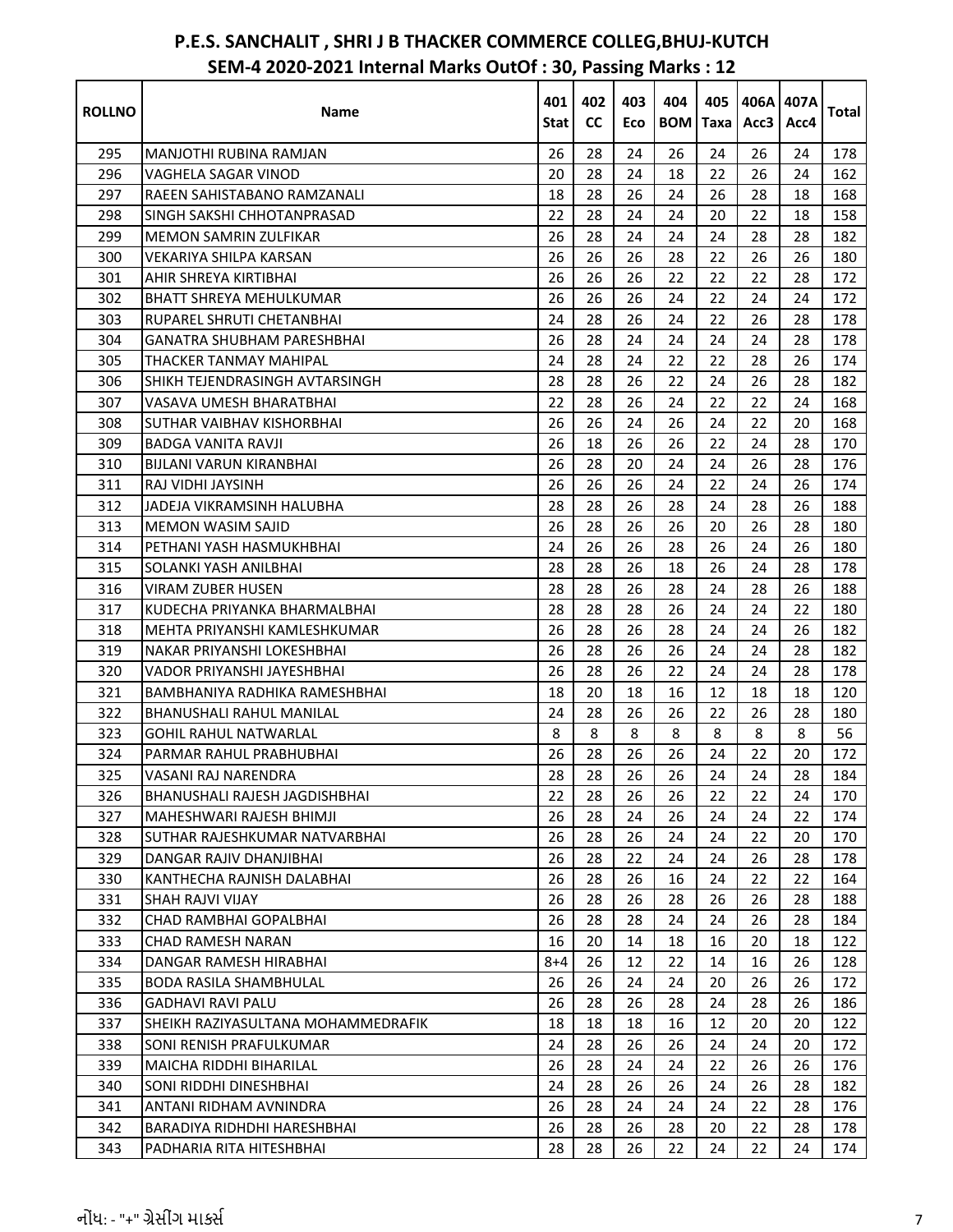| <b>ROLLNO</b> | Name                               | 401<br>Stat | 402<br><b>CC</b> | 403<br>Eco | 404<br><b>BOM</b> | 405<br>Taxa | Acc3 | 406A 407A<br>Acc4 | <b>Total</b> |
|---------------|------------------------------------|-------------|------------------|------------|-------------------|-------------|------|-------------------|--------------|
| 295           | MANJOTHI RUBINA RAMJAN             | 26          | 28               | 24         | 26                | 24          | 26   | 24                | 178          |
| 296           | VAGHELA SAGAR VINOD                | 20          | 28               | 24         | 18                | 22          | 26   | 24                | 162          |
| 297           | RAEEN SAHISTABANO RAMZANALI        | 18          | 28               | 26         | 24                | 26          | 28   | 18                | 168          |
| 298           | SINGH SAKSHI CHHOTANPRASAD         | 22          | 28               | 24         | 24                | 20          | 22   | 18                | 158          |
| 299           | <b>MEMON SAMRIN ZULFIKAR</b>       | 26          | 28               | 24         | 24                | 24          | 28   | 28                | 182          |
| 300           | VEKARIYA SHILPA KARSAN             | 26          | 26               | 26         | 28                | 22          | 26   | 26                | 180          |
| 301           | AHIR SHREYA KIRTIBHAI              | 26          | 26               | 26         | 22                | 22          | 22   | 28                | 172          |
| 302           | <b>BHATT SHREYA MEHULKUMAR</b>     | 26          | 26               | 26         | 24                | 22          | 24   | 24                | 172          |
| 303           | RUPAREL SHRUTI CHETANBHAI          | 24          | 28               | 26         | 24                | 22          | 26   | 28                | 178          |
| 304           | <b>GANATRA SHUBHAM PARESHBHAI</b>  | 26          | 28               | 24         | 24                | 24          | 24   | 28                | 178          |
| 305           | THACKER TANMAY MAHIPAL             | 24          | 28               | 24         | 22                | 22          | 28   | 26                | 174          |
| 306           | SHIKH TEJENDRASINGH AVTARSINGH     | 28          | 28               | 26         | 22                | 24          | 26   | 28                | 182          |
| 307           | VASAVA UMESH BHARATBHAI            | 22          | 28               | 26         | 24                | 22          | 22   | 24                | 168          |
| 308           | SUTHAR VAIBHAV KISHORBHAI          | 26          | 26               | 24         | 26                | 24          | 22   | 20                | 168          |
| 309           | BADGA VANITA RAVJI                 | 26          | 18               | 26         | 26                | 22          | 24   | 28                | 170          |
| 310           | BIJLANI VARUN KIRANBHAI            | 26          | 28               | 20         | 24                | 24          | 26   | 28                | 176          |
| 311           | RAJ VIDHI JAYSINH                  | 26          | 26               | 26         | 24                | 22          | 24   | 26                | 174          |
| 312           | JADEJA VIKRAMSINH HALUBHA          | 28          | 28               | 26         | 28                | 24          | 28   | 26                | 188          |
| 313           | <b>MEMON WASIM SAJID</b>           | 26          | 28               | 26         | 26                | 20          | 26   | 28                | 180          |
| 314           | PETHANI YASH HASMUKHBHAI           | 24          | 26               | 26         | 28                | 26          | 24   | 26                | 180          |
| 315           | SOLANKI YASH ANILBHAI              | 28          | 28               | 26         | 18                | 26          | 24   | 28                | 178          |
| 316           | VIRAM ZUBER HUSEN                  | 28          | 28               | 26         | 28                | 24          | 28   | 26                | 188          |
| 317           | KUDECHA PRIYANKA BHARMALBHAI       | 28          | 28               | 28         | 26                | 24          | 24   | 22                | 180          |
| 318           | MEHTA PRIYANSHI KAMLESHKUMAR       | 26          | 28               | 26         | 28                | 24          | 24   | 26                | 182          |
| 319           | NAKAR PRIYANSHI LOKESHBHAI         | 26          | 28               | 26         | 26                | 24          | 24   | 28                | 182          |
| 320           | VADOR PRIYANSHI JAYESHBHAI         | 26          | 28               | 26         | 22                | 24          | 24   | 28                | 178          |
| 321           | BAMBHANIYA RADHIKA RAMESHBHAI      | 18          | 20               | 18         | 16                | 12          | 18   | 18                | 120          |
| 322           | BHANUSHALI RAHUL MANILAL           | 24          | 28               | 26         | 26                | 22          | 26   | 28                | 180          |
| 323           | GOHIL RAHUL NATWARLAL              | 8           | 8                | 8          | 8                 | 8           | 8    | 8                 | 56           |
| 324           | PARMAR RAHUL PRABHUBHAI            | 26          | 28               | 26         | 26                | 24          | 22   | 20                | 172          |
| 325           | VASANI RAJ NARENDRA                | 28          | 28               | 26         | 26                | 24          | 24   | 28                | 184          |
| 326           | BHANUSHALI RAJESH JAGDISHBHAI      | 22          | 28               | 26         | 26                | 22          | 22   | 24                | 170          |
| 327           | MAHESHWARI RAJESH BHIMJI           | 26          | 28               | 24         | 26                | 24          | 24   | 22                | 174          |
| 328           | SUTHAR RAJESHKUMAR NATVARBHAI      | 26          | 28               | 26         | 24                | 24          | 22   | 20                | 170          |
| 329           | DANGAR RAJIV DHANJIBHAI            | 26          | 28               | 22         | 24                | 24          | 26   | 28                | 178          |
| 330           | KANTHECHA RAJNISH DALABHAI         | 26          | 28               | 26         | 16                | 24          | 22   | 22                | 164          |
| 331           | SHAH RAJVI VIJAY                   | 26          | 28               | 26         | 28                | 26          | 26   | 28                | 188          |
| 332           | CHAD RAMBHAI GOPALBHAI             | 26          | 28               | 28         | 24                | 24          | 26   | 28                | 184          |
| 333           | <b>CHAD RAMESH NARAN</b>           | 16          | 20               | 14         | 18                | 16          | 20   | 18                | 122          |
| 334           | DANGAR RAMESH HIRABHAI             | $8 + 4$     | 26               | 12         | 22                | 14          | 16   | 26                | 128          |
| 335           | <b>BODA RASILA SHAMBHULAL</b>      | 26          | 26               | 24         | 24                | 20          | 26   | 26                | 172          |
| 336           | <b>GADHAVI RAVI PALU</b>           | 26          | 28               | 26         | 28                | 24          | 28   | 26                | 186          |
| 337           | SHEIKH RAZIYASULTANA MOHAMMEDRAFIK | 18          | 18               | 18         | 16                | 12          | 20   | 20                | 122          |
| 338           | SONI RENISH PRAFULKUMAR            | 24          | 28               | 26         | 26                | 24          | 24   | 20                | 172          |
| 339           | <b>MAICHA RIDDHI BIHARILAL</b>     | 26          | 28               | 24         | 24                | 22          | 26   | 26                | 176          |
| 340           | SONI RIDDHI DINESHBHAI             | 24          | 28               | 26         | 26                | 24          | 26   | 28                | 182          |
| 341           | ANTANI RIDHAM AVNINDRA             | 26          | 28               | 24         | 24                | 24          | 22   | 28                | 176          |
| 342           | BARADIYA RIDHDHI HARESHBHAI        | 26          | 28               | 26         | 28                | 20          | 22   | 28                | 178          |
| 343           | PADHARIA RITA HITESHBHAI           | 28          | 28               | 26         | 22                | 24          | 22   | 24                | 174          |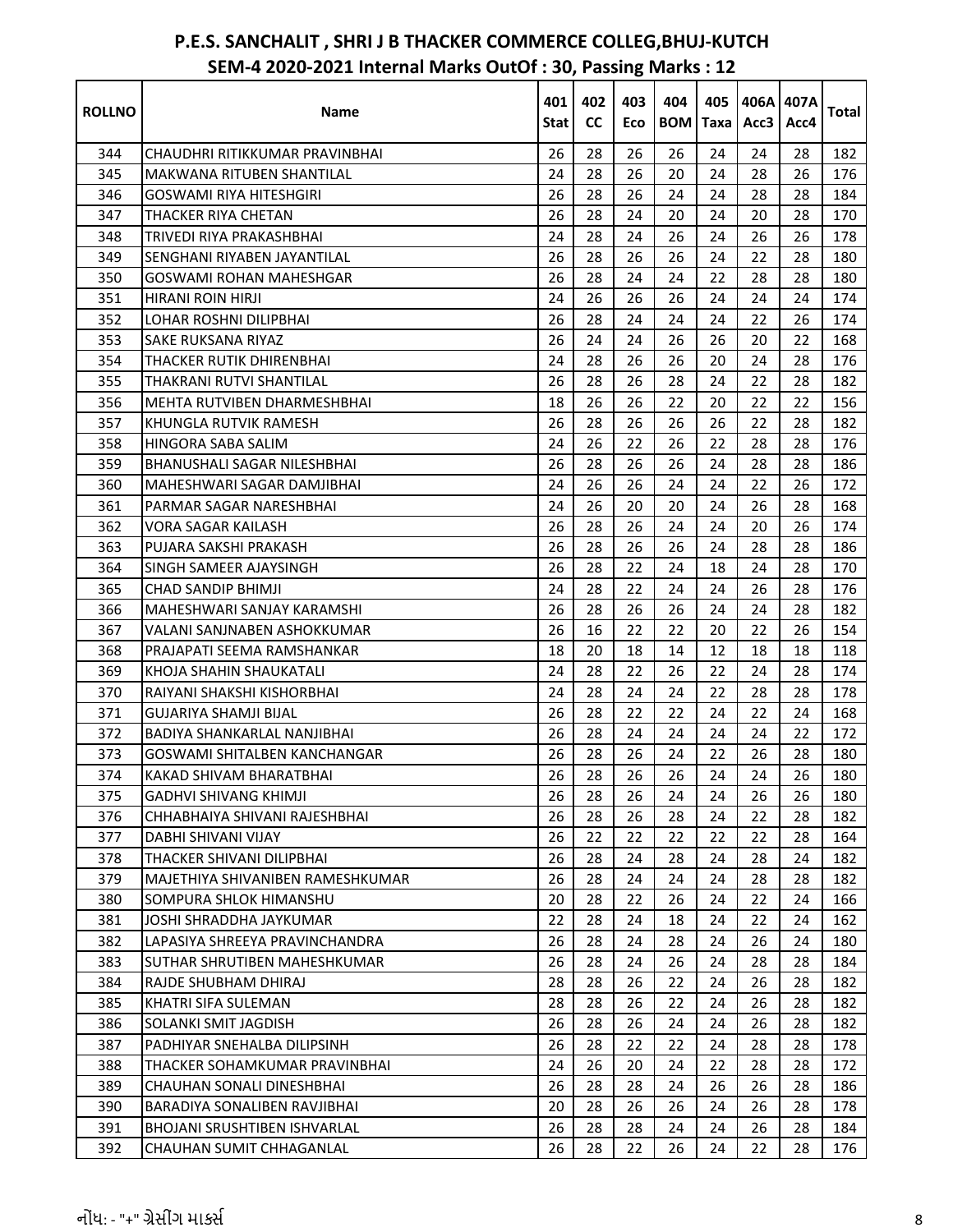| <b>ROLLNO</b> | Name                                | 401<br>Stat | 402<br><b>CC</b> | 403<br>Eco | 404<br><b>BOM</b> Taxa | 405 | Acc3 | 406A 407A<br>Acc4 | <b>Total</b> |
|---------------|-------------------------------------|-------------|------------------|------------|------------------------|-----|------|-------------------|--------------|
| 344           | CHAUDHRI RITIKKUMAR PRAVINBHAI      | 26          | 28               | 26         | 26                     | 24  | 24   | 28                | 182          |
| 345           | MAKWANA RITUBEN SHANTILAL           | 24          | 28               | 26         | 20                     | 24  | 28   | 26                | 176          |
| 346           | <b>GOSWAMI RIYA HITESHGIRI</b>      | 26          | 28               | 26         | 24                     | 24  | 28   | 28                | 184          |
| 347           | THACKER RIYA CHETAN                 | 26          | 28               | 24         | 20                     | 24  | 20   | 28                | 170          |
| 348           | TRIVEDI RIYA PRAKASHBHAI            | 24          | 28               | 24         | 26                     | 24  | 26   | 26                | 178          |
| 349           | SENGHANI RIYABEN JAYANTILAL         | 26          | 28               | 26         | 26                     | 24  | 22   | 28                | 180          |
| 350           | GOSWAMI ROHAN MAHESHGAR             | 26          | 28               | 24         | 24                     | 22  | 28   | 28                | 180          |
| 351           | <b>HIRANI ROIN HIRJI</b>            | 24          | 26               | 26         | 26                     | 24  | 24   | 24                | 174          |
| 352           | LOHAR ROSHNI DILIPBHAI              | 26          | 28               | 24         | 24                     | 24  | 22   | 26                | 174          |
| 353           | <b>SAKE RUKSANA RIYAZ</b>           | 26          | 24               | 24         | 26                     | 26  | 20   | 22                | 168          |
| 354           | THACKER RUTIK DHIRENBHAI            | 24          | 28               | 26         | 26                     | 20  | 24   | 28                | 176          |
| 355           | THAKRANI RUTVI SHANTILAL            | 26          | 28               | 26         | 28                     | 24  | 22   | 28                | 182          |
| 356           | MEHTA RUTVIBEN DHARMESHBHAI         | 18          | 26               | 26         | 22                     | 20  | 22   | 22                | 156          |
| 357           | KHUNGLA RUTVIK RAMESH               | 26          | 28               | 26         | 26                     | 26  | 22   | 28                | 182          |
| 358           | HINGORA SABA SALIM                  | 24          | 26               | 22         | 26                     | 22  | 28   | 28                | 176          |
| 359           | BHANUSHALI SAGAR NILESHBHAI         | 26          | 28               | 26         | 26                     | 24  | 28   | 28                | 186          |
| 360           | MAHESHWARI SAGAR DAMJIBHAI          | 24          | 26               | 26         | 24                     | 24  | 22   | 26                | 172          |
| 361           | PARMAR SAGAR NARESHBHAI             | 24          | 26               | 20         | 20                     | 24  | 26   | 28                | 168          |
| 362           | VORA SAGAR KAILASH                  | 26          | 28               | 26         | 24                     | 24  | 20   | 26                | 174          |
| 363           | PUJARA SAKSHI PRAKASH               | 26          | 28               | 26         | 26                     | 24  | 28   | 28                | 186          |
| 364           | SINGH SAMEER AJAYSINGH              | 26          | 28               | 22         | 24                     | 18  | 24   | 28                | 170          |
| 365           | <b>CHAD SANDIP BHIMJI</b>           | 24          | 28               | 22         | 24                     | 24  | 26   | 28                | 176          |
| 366           | MAHESHWARI SANJAY KARAMSHI          | 26          | 28               | 26         | 26                     | 24  | 24   | 28                | 182          |
| 367           | VALANI SANJNABEN ASHOKKUMAR         | 26          | 16               | 22         | 22                     | 20  | 22   | 26                | 154          |
| 368           | PRAJAPATI SEEMA RAMSHANKAR          | 18          | 20               | 18         | 14                     | 12  | 18   | 18                | 118          |
| 369           | KHOJA SHAHIN SHAUKATALI             | 24          | 28               | 22         | 26                     | 22  | 24   | 28                | 174          |
| 370           | RAIYANI SHAKSHI KISHORBHAI          | 24          | 28               | 24         | 24                     | 22  | 28   | 28                | 178          |
| 371           | GUJARIYA SHAMJI BIJAL               | 26          | 28               | 22         | 22                     | 24  | 22   | 24                | 168          |
| 372           | BADIYA SHANKARLAL NANJIBHAI         | 26          | 28               | 24         | 24                     | 24  | 24   | 22                | 172          |
| 373           | GOSWAMI SHITALBEN KANCHANGAR        | 26          | 28               | 26         | 24                     | 22  | 26   | 28                | 180          |
| 374           | KAKAD SHIVAM BHARATBHAI             | 26          | 28               | 26         | 26                     | 24  | 24   | 26                | 180          |
| 375           | <b>GADHVI SHIVANG KHIMJI</b>        | 26          | 28               | 26         | 24                     | 24  | 26   | 26                | 180          |
| 376           | CHHABHAIYA SHIVANI RAJESHBHAI       | 26          | 28               | 26         | 28                     | 24  | 22   | 28                | 182          |
| 377           | DABHI SHIVANI VIJAY                 | 26          | 22               | 22         | 22                     | 22  | 22   | 28                | 164          |
| 378           | THACKER SHIVANI DILIPBHAI           | 26          | 28               | 24         | 28                     | 24  | 28   | 24                | 182          |
| 379           | MAJETHIYA SHIVANIBEN RAMESHKUMAR    | 26          | 28               | 24         | 24                     | 24  | 28   | 28                | 182          |
| 380           | SOMPURA SHLOK HIMANSHU              | 20          | 28               | 22         | 26                     | 24  | 22   | 24                | 166          |
| 381           | JOSHI SHRADDHA JAYKUMAR             | 22          | 28               | 24         | 18                     | 24  | 22   | 24                | 162          |
| 382           | LAPASIYA SHREEYA PRAVINCHANDRA      | 26          | 28               | 24         | 28                     | 24  | 26   | 24                | 180          |
| 383           | <b>SUTHAR SHRUTIBEN MAHESHKUMAR</b> | 26          | 28               | 24         | 26                     | 24  | 28   | 28                | 184          |
| 384           | RAJDE SHUBHAM DHIRAJ                | 28          | 28               | 26         | 22                     | 24  | 26   | 28                | 182          |
| 385           | KHATRI SIFA SULEMAN                 | 28          | 28               | 26         | 22                     | 24  | 26   | 28                | 182          |
| 386           | SOLANKI SMIT JAGDISH                | 26          | 28               | 26         | 24                     | 24  | 26   | 28                | 182          |
| 387           | PADHIYAR SNEHALBA DILIPSINH         | 26          | 28               | 22         | 22                     | 24  | 28   | 28                | 178          |
| 388           | THACKER SOHAMKUMAR PRAVINBHAI       | 24          | 26               | 20         | 24                     | 22  | 28   | 28                | 172          |
| 389           | CHAUHAN SONALI DINESHBHAI           | 26          | 28               | 28         | 24                     | 26  | 26   | 28                | 186          |
| 390           | <b>BARADIYA SONALIBEN RAVJIBHAI</b> | 20          | 28               | 26         | 26                     | 24  | 26   | 28                | 178          |
| 391           | <b>BHOJANI SRUSHTIBEN ISHVARLAL</b> | 26          | 28               | 28         | 24                     | 24  | 26   | 28                | 184          |
| 392           | CHAUHAN SUMIT CHHAGANLAL            | 26          | 28               | 22         | 26                     | 24  | 22   | 28                | 176          |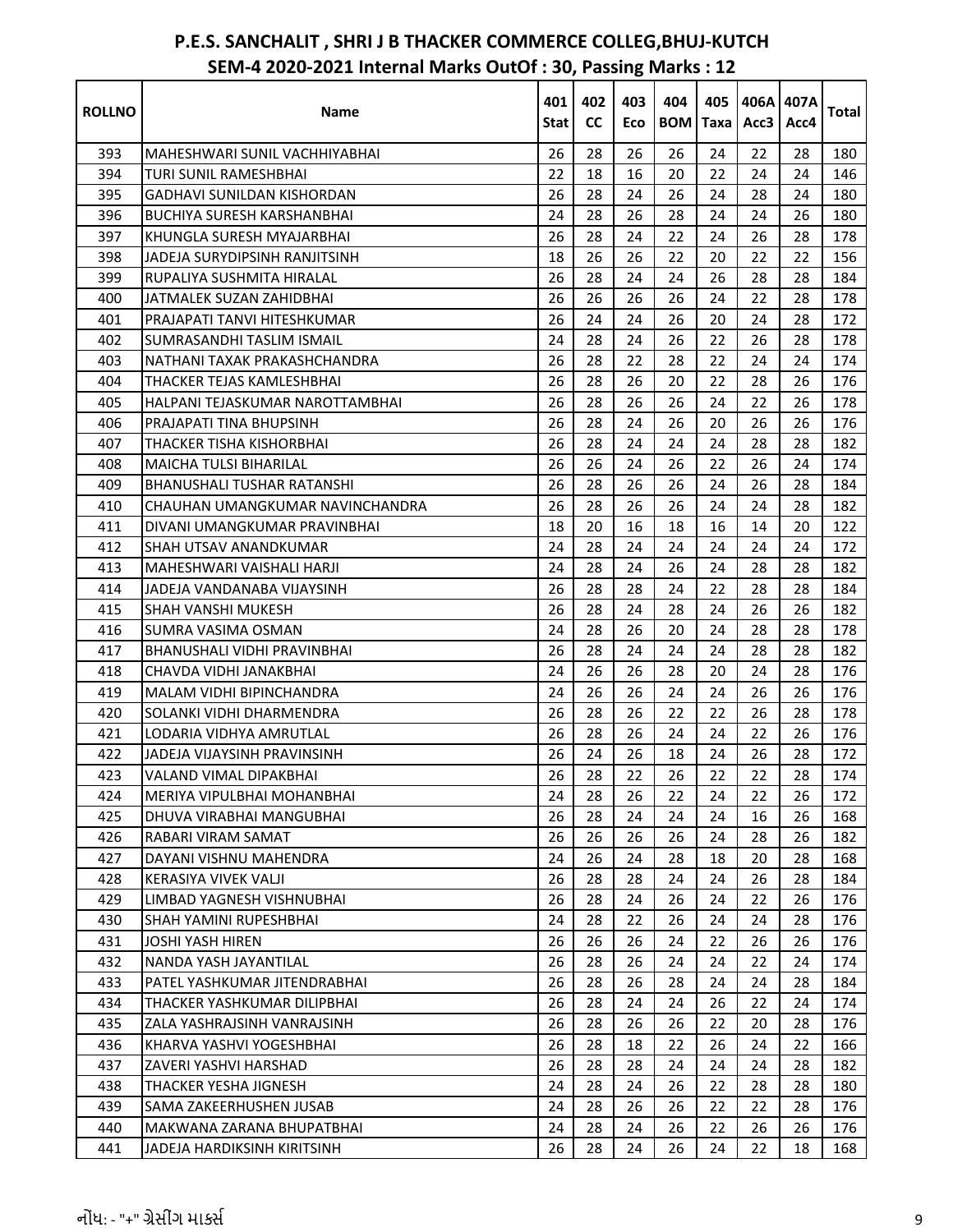| <b>ROLLNO</b> | Name                                                       | 401<br>Stat | 402<br><b>CC</b> | 403<br>Eco | 404<br><b>BOM</b> | 405<br>Taxa | 406A 407A<br>Acc3 | Acc4 | Total I    |
|---------------|------------------------------------------------------------|-------------|------------------|------------|-------------------|-------------|-------------------|------|------------|
|               |                                                            | 26          | 28               | 26         | 26                | 24          | 22                | 28   |            |
| 393<br>394    | MAHESHWARI SUNIL VACHHIYABHAI                              |             | 18               |            |                   |             |                   | 24   | 180<br>146 |
| 395           | <b>TURI SUNIL RAMESHBHAI</b><br>GADHAVI SUNILDAN KISHORDAN | 22<br>26    | 28               | 16<br>24   | 20<br>26          | 22<br>24    | 24<br>28          | 24   | 180        |
| 396           | <b>BUCHIYA SURESH KARSHANBHAI</b>                          | 24          | 28               | 26         | 28                | 24          | 24                | 26   | 180        |
| 397           | KHUNGLA SURESH MYAJARBHAI                                  | 26          | 28               | 24         | 22                | 24          | 26                | 28   | 178        |
| 398           | JADEJA SURYDIPSINH RANJITSINH                              | 18          | 26               | 26         | 22                | 20          | 22                | 22   | 156        |
| 399           | RUPALIYA SUSHMITA HIRALAL                                  | 26          | 28               | 24         | 24                | 26          | 28                | 28   | 184        |
| 400           | JATMALEK SUZAN ZAHIDBHAI                                   | 26          | 26               | 26         | 26                | 24          | 22                | 28   | 178        |
| 401           | PRAJAPATI TANVI HITESHKUMAR                                | 26          | 24               | 24         | 26                | 20          | 24                | 28   | 172        |
| 402           | SUMRASANDHI TASLIM ISMAIL                                  | 24          | 28               | 24         | 26                | 22          | 26                | 28   | 178        |
| 403           | NATHANI TAXAK PRAKASHCHANDRA                               | 26          | 28               | 22         | 28                | 22          | 24                | 24   | 174        |
| 404           | THACKER TEJAS KAMLESHBHAI                                  | 26          | 28               | 26         | 20                | 22          | 28                | 26   | 176        |
| 405           | HALPANI TEJASKUMAR NAROTTAMBHAI                            | 26          | 28               | 26         | 26                | 24          | 22                | 26   | 178        |
| 406           | PRAJAPATI TINA BHUPSINH                                    | 26          | 28               | 24         | 26                | 20          | 26                | 26   | 176        |
| 407           | <b>THACKER TISHA KISHORBHAI</b>                            | 26          | 28               | 24         | 24                | 24          | 28                | 28   | 182        |
| 408           | <b>MAICHA TULSI BIHARILAL</b>                              | 26          | 26               | 24         | 26                | 22          | 26                | 24   | 174        |
| 409           | <b>BHANUSHALI TUSHAR RATANSHI</b>                          | 26          | 28               | 26         | 26                | 24          | 26                | 28   | 184        |
| 410           | CHAUHAN UMANGKUMAR NAVINCHANDRA                            | 26          | 28               | 26         | 26                | 24          | 24                | 28   | 182        |
| 411           | DIVANI UMANGKUMAR PRAVINBHAI                               | 18          | 20               | 16         | 18                | 16          | 14                | 20   | 122        |
| 412           | <b>SHAH UTSAV ANANDKUMAR</b>                               | 24          | 28               | 24         | 24                | 24          | 24                | 24   | 172        |
| 413           | MAHESHWARI VAISHALI HARJI                                  | 24          | 28               | 24         | 26                | 24          | 28                | 28   | 182        |
| 414           | JADEJA VANDANABA VIJAYSINH                                 | 26          | 28               | 28         | 24                | 22          | 28                | 28   | 184        |
| 415           | SHAH VANSHI MUKESH                                         | 26          | 28               | 24         | 28                | 24          | 26                | 26   | 182        |
| 416           | SUMRA VASIMA OSMAN                                         | 24          | 28               | 26         | 20                | 24          | 28                | 28   | 178        |
| 417           | BHANUSHALI VIDHI PRAVINBHAI                                | 26          | 28               | 24         | 24                | 24          | 28                | 28   | 182        |
| 418           | CHAVDA VIDHI JANAKBHAI                                     | 24          | 26               | 26         | 28                | 20          | 24                | 28   | 176        |
| 419           | MALAM VIDHI BIPINCHANDRA                                   | 24          | 26               | 26         | 24                | 24          | 26                | 26   | 176        |
| 420           | SOLANKI VIDHI DHARMENDRA                                   | 26          | 28               | 26         | 22                | 22          | 26                | 28   | 178        |
| 421           | LODARIA VIDHYA AMRUTLAL                                    | 26          | 28               | 26         | 24                | 24          | 22                | 26   | 176        |
| 422           | JADEJA VIJAYSINH PRAVINSINH                                | 26          | 24               | 26         | 18                | 24          | 26                | 28   | 172        |
| 423           | VALAND VIMAL DIPAKBHAI                                     | 26          | 28               | 22         | 26                | 22          | 22                | 28   | 174        |
| 424           | MERIYA VIPULBHAI MOHANBHAI                                 | 24          | 28               | 26         | 22                | 24          | 22                | 26   | 172        |
| 425           | DHUVA VIRABHAI MANGUBHAI                                   | 26          | 28               | 24         | 24                | 24          | 16                | 26   | 168        |
| 426           | RABARI VIRAM SAMAT                                         | 26          | 26               | 26         | 26                | 24          | 28                | 26   | 182        |
| 427           | DAYANI VISHNU MAHENDRA                                     | 24          | 26               | 24         | 28                | 18          | 20                | 28   | 168        |
| 428           | <b>KERASIYA VIVEK VALJI</b>                                | 26          | 28               | 28         | 24                | 24          | 26                | 28   | 184        |
| 429           | LIMBAD YAGNESH VISHNUBHAI                                  | 26          | 28               | 24         | 26                | 24          | 22                | 26   | 176        |
| 430           | <b>SHAH YAMINI RUPESHBHAI</b>                              | 24          | 28               | 22         | 26                | 24          | 24                | 28   | 176        |
| 431           | <b>JOSHI YASH HIREN</b>                                    | 26          | 26               | 26         | 24                | 22          | 26                | 26   | 176        |
| 432           | NANDA YASH JAYANTILAL                                      | 26          | 28               | 26         | 24                | 24          | 22                | 24   | 174        |
| 433           | PATEL YASHKUMAR JITENDRABHAI                               | 26          | 28               | 26         | 28                | 24          | 24                | 28   | 184        |
| 434           | THACKER YASHKUMAR DILIPBHAI                                | 26          | 28               | 24         | 24                | 26          | 22                | 24   | 174        |
| 435           | ZALA YASHRAJSINH VANRAJSINH                                | 26          | 28               | 26         | 26                | 22          | 20                | 28   | 176        |
| 436           | KHARVA YASHVI YOGESHBHAI                                   | 26          | 28               | 18         | 22                | 26          | 24                | 22   | 166        |
| 437           | ZAVERI YASHVI HARSHAD                                      | 26          | 28               | 28         | 24                | 24          | 24                | 28   | 182        |
| 438           | THACKER YESHA JIGNESH                                      | 24          | 28               | 24         | 26                | 22          | 28                | 28   | 180        |
| 439           | SAMA ZAKEERHUSHEN JUSAB                                    | 24          | 28               | 26         | 26                | 22          | 22                | 28   | 176        |
| 440           | MAKWANA ZARANA BHUPATBHAI                                  | 24          | 28               | 24         | 26                | 22          | 26                | 26   | 176        |
| 441           | JADEJA HARDIKSINH KIRITSINH                                | 26          | 28               | 24         | 26                | 24          | 22                | 18   | 168        |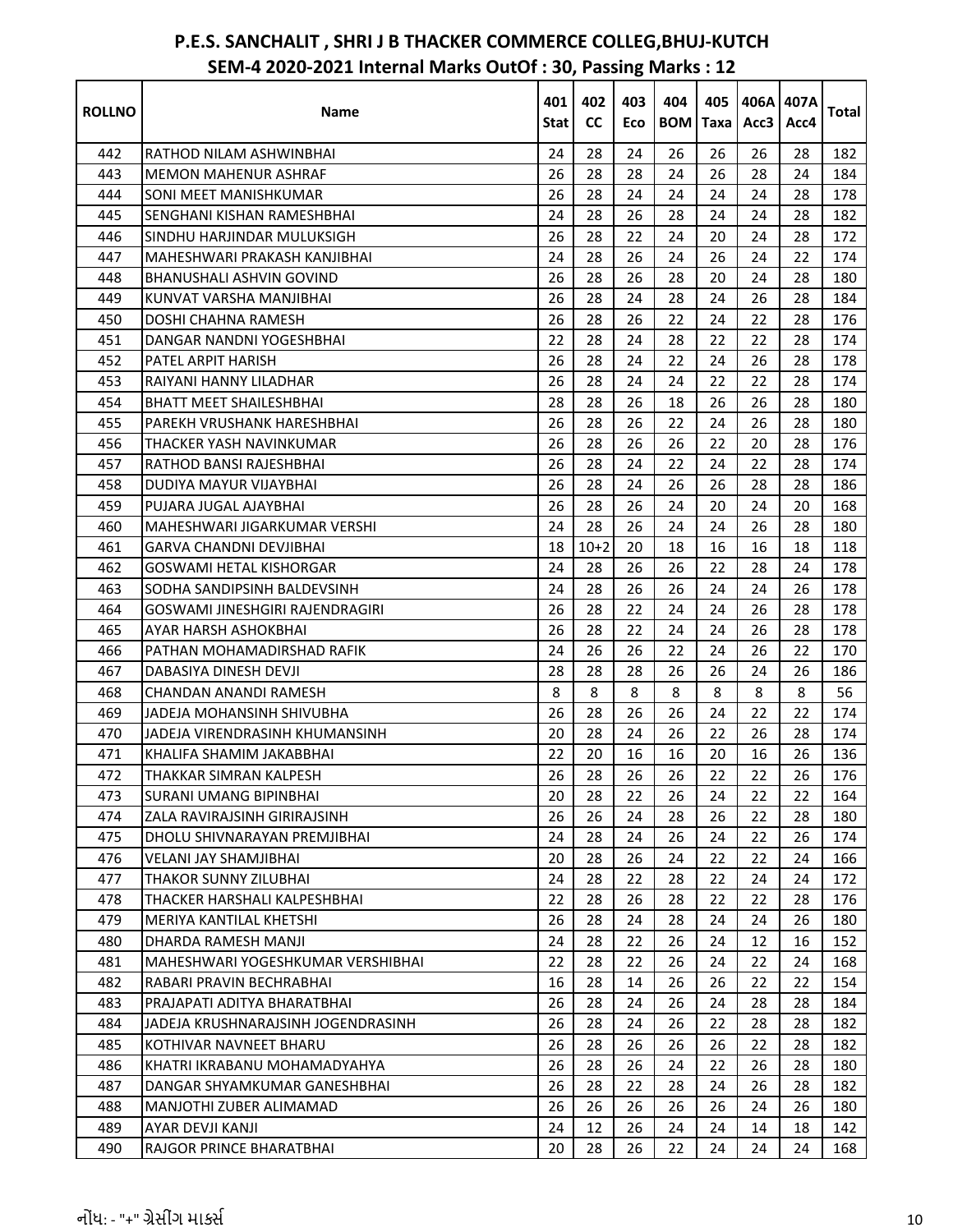| <b>ROLLNO</b> | Name                               | 401<br>Stat I | 402<br><b>CC</b> | 403<br>Eco | 404<br><b>BOM</b> | 405<br>Taxa | Acc3   | 406A 407A<br>Acc4 | Total |
|---------------|------------------------------------|---------------|------------------|------------|-------------------|-------------|--------|-------------------|-------|
| 442           | RATHOD NILAM ASHWINBHAI            | 24            | 28               | 24         | 26                | 26          | 26     | 28                | 182   |
| 443           | MEMON MAHENUR ASHRAF               | 26            | 28               | 28         | 24                | 26          | 28     | 24                | 184   |
| 444           | SONI MEET MANISHKUMAR              | 26            | 28               | 24         | 24                | 24          | 24     | 28                | 178   |
| 445           | SENGHANI KISHAN RAMESHBHAI         | 24            | 28               | 26         | 28                | 24          | 24     | 28                | 182   |
| 446           | SINDHU HARJINDAR MULUKSIGH         | 26            | 28               | 22         | 24                | 20          | 24     | 28                | 172   |
| 447           | MAHESHWARI PRAKASH KANJIBHAI       | 24            | 28               | 26         | 24                | 26          | 24     | 22                | 174   |
| 448           | BHANUSHALI ASHVIN GOVIND           | 26            | 28               | 26         | 28                | 20          | 24     | 28                | 180   |
| 449           | KUNVAT VARSHA MANJIBHAI            | 26            | 28               | 24         | 28                | 24          | 26     | 28                | 184   |
| 450           | DOSHI CHAHNA RAMESH                | 26            | 28               | 26         | 22                | 24          | 22     | 28                | 176   |
| 451           | DANGAR NANDNI YOGESHBHAI           | 22            | 28               | 24         | 28                | 22          | 22     | 28                | 174   |
| 452           | PATEL ARPIT HARISH                 | 26            | 28               | 24         | 22                | 24          | 26     | 28                | 178   |
| 453           | RAIYANI HANNY LILADHAR             | 26            | 28               | 24         | 24                | 22          | 22     | 28                | 174   |
| 454           | <b>BHATT MEET SHAILESHBHAI</b>     | 28            | 28               | 26         | 18                | 26          | 26     | 28                | 180   |
| 455           | PAREKH VRUSHANK HARESHBHAI         | 26            | 28               | 26         | 22                | 24          | 26     | 28                | 180   |
| 456           | THACKER YASH NAVINKUMAR            | 26            | 28               | 26         | 26                | 22          | 20     | 28                | 176   |
| 457           | RATHOD BANSI RAJESHBHAI            | 26            | 28               | 24         | 22                | 24          | 22     | 28                | 174   |
| 458           | DUDIYA MAYUR VIJAYBHAI             | 26            | 28               | 24         | 26                | 26          | 28     | 28                | 186   |
| 459           | PUJARA JUGAL AJAYBHAI              | 26            | 28               | 26         | 24                | 20          | 24     | 20                | 168   |
| 460           | MAHESHWARI JIGARKUMAR VERSHI       | 24            | 28               | 26         | 24                | 24          | 26     | 28                | 180   |
| 461           | GARVA CHANDNI DEVJIBHAI            | 18            | $10+2$           | 20         | 18                | 16          | 16     | 18                | 118   |
| 462           | <b>GOSWAMI HETAL KISHORGAR</b>     | 24            | 28               | 26         | 26                | 22          | 28     | 24                | 178   |
| 463           | SODHA SANDIPSINH BALDEVSINH        | 24            | 28               | 26         | 26                | 24          | 24     | 26                | 178   |
| 464           | GOSWAMI JINESHGIRI RAJENDRAGIRI    | 26            | 28               | 22         | 24                | 24          | 26     | 28                | 178   |
| 465           | AYAR HARSH ASHOKBHAI               | 26            | 28               | 22         | 24                | 24          | 26     | 28                | 178   |
| 466           | PATHAN MOHAMADIRSHAD RAFIK         | 24            | 26               | 26         | 22                | 24          | 26     | 22                | 170   |
| 467           | DABASIYA DINESH DEVJI              | 28            | 28               | 28         | 26                | 26          | 24     | 26                | 186   |
| 468           | CHANDAN ANANDI RAMESH              | 8             | 8                | 8          | 8                 | 8           | 8      | 8                 | 56    |
| 469           | <b>JADEJA MOHANSINH SHIVUBHA</b>   | 26            | 28               | 26         | 26                | 24          | 22     | 22                | 174   |
| 470           | JADEJA VIRENDRASINH KHUMANSINH     | 20            | 28               | 24         | 26                | 22          | 26     | 28                | 174   |
| 471           | KHALIFA SHAMIM JAKABBHAI           | 22            | 20               | 16         | 16                | 20          | 16     | 26                | 136   |
| 472           | THAKKAR SIMRAN KALPESH             | 26            | 28               | 26         | 26                | 22          | $22\,$ | $26\,$            | 176   |
| 473           | <b>SURANI UMANG BIPINBHAI</b>      | 20            | 28               | 22         | 26                | 24          | 22     | 22                | 164   |
| 474           | ZALA RAVIRAJSINH GIRIRAJSINH       | 26            | 26               | 24         | 28                | 26          | 22     | 28                | 180   |
| 475           | DHOLU SHIVNARAYAN PREMJIBHAI       | 24            | 28               | 24         | 26                | 24          | 22     | 26                | 174   |
| 476           | VELANI JAY SHAMJIBHAI              | 20            | 28               | 26         | 24                | 22          | 22     | 24                | 166   |
| 477           | THAKOR SUNNY ZILUBHAI              | 24            | 28               | 22         | 28                | 22          | 24     | 24                | 172   |
| 478           | THACKER HARSHALI KALPESHBHAI       | 22            | 28               | 26         | 28                | 22          | 22     | 28                | 176   |
| 479           | MERIYA KANTILAL KHETSHI            | 26            | 28               | 24         | 28                | 24          | 24     | 26                | 180   |
| 480           | DHARDA RAMESH MANJI                | 24            | 28               | 22         | 26                | 24          | 12     | 16                | 152   |
| 481           | MAHESHWARI YOGESHKUMAR VERSHIBHAI  | 22            | 28               | 22         | 26                | 24          | 22     | 24                | 168   |
| 482           | RABARI PRAVIN BECHRABHAI           | 16            | 28               | 14         | 26                | 26          | 22     | 22                | 154   |
| 483           | PRAJAPATI ADITYA BHARATBHAI        | 26            | 28               | 24         | 26                | 24          | 28     | 28                | 184   |
| 484           | JADEJA KRUSHNARAJSINH JOGENDRASINH | 26            | 28               | 24         | 26                | 22          | 28     | 28                | 182   |
| 485           | KOTHIVAR NAVNEET BHARU             | 26            | 28               | 26         | 26                | 26          | 22     | 28                | 182   |
| 486           | KHATRI IKRABANU MOHAMADYAHYA       | 26            | 28               | 26         | 24                | 22          | 26     | 28                | 180   |
| 487           | DANGAR SHYAMKUMAR GANESHBHAI       | 26            | 28               | 22         | 28                | 24          | 26     | 28                | 182   |
| 488           | MANJOTHI ZUBER ALIMAMAD            | 26            | 26               | 26         | 26                | 26          | 24     | 26                | 180   |
| 489           | AYAR DEVJI KANJI                   | 24            | 12               | 26         | 24                | 24          | 14     | 18                | 142   |
| 490           | RAJGOR PRINCE BHARATBHAI           | 20            | 28               | 26         | 22                | 24          | 24     | 24                | 168   |